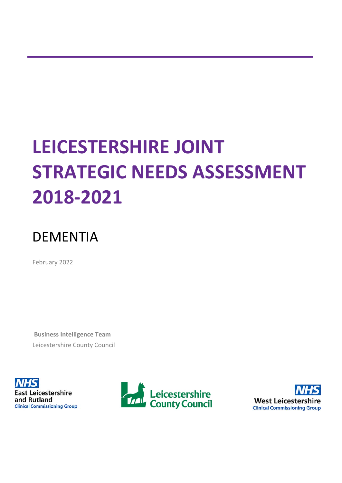# **LEICESTERSHIRE JOINT STRATEGIC NEEDS ASSESSMENT 2018-2021**

## DEMENTIA

February 2022

**Business Intelligence Team** Leicestershire County Council





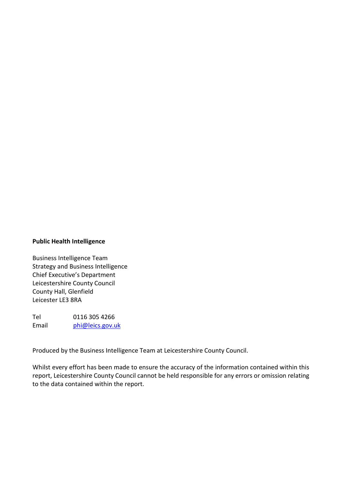#### **Public Health Intelligence**

Business Intelligence Team Strategy and Business Intelligence Chief Executive's Department Leicestershire County Council County Hall, Glenfield Leicester LE3 8RA

Tel 0116 305 4266 Email [phi@leics.gov.uk](mailto:phi@leics.gov.uk)

Produced by the Business Intelligence Team at Leicestershire County Council.

Whilst every effort has been made to ensure the accuracy of the information contained within this report, Leicestershire County Council cannot be held responsible for any errors or omission relating to the data contained within the report.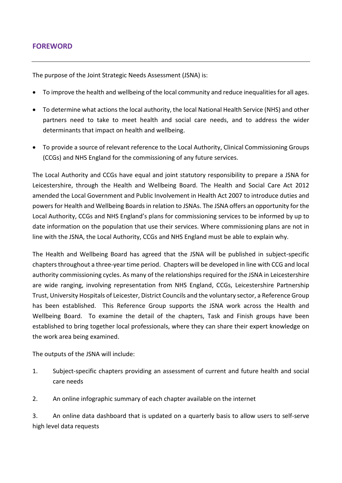#### **FOREWORD**

The purpose of the Joint Strategic Needs Assessment (JSNA) is:

- To improve the health and wellbeing of the local community and reduce inequalities for all ages.
- To determine what actions the local authority, the local National Health Service (NHS) and other partners need to take to meet health and social care needs, and to address the wider determinants that impact on health and wellbeing.
- To provide a source of relevant reference to the Local Authority, Clinical Commissioning Groups (CCGs) and NHS England for the commissioning of any future services.

The Local Authority and CCGs have equal and joint statutory responsibility to prepare a JSNA for Leicestershire, through the Health and Wellbeing Board. The Health and Social Care Act 2012 amended the Local Government and Public Involvement in Health Act 2007 to introduce duties and powers for Health and Wellbeing Boards in relation to JSNAs. The JSNA offers an opportunity for the Local Authority, CCGs and NHS England's plans for commissioning services to be informed by up to date information on the population that use their services. Where commissioning plans are not in line with the JSNA, the Local Authority, CCGs and NHS England must be able to explain why.

The Health and Wellbeing Board has agreed that the JSNA will be published in subject-specific chapters throughout a three-year time period. Chapters will be developed in line with CCG and local authority commissioning cycles. As many of the relationships required for the JSNA in Leicestershire are wide ranging, involving representation from NHS England, CCGs, Leicestershire Partnership Trust, University Hospitals of Leicester, District Councils and the voluntary sector, a Reference Group has been established. This Reference Group supports the JSNA work across the Health and Wellbeing Board. To examine the detail of the chapters, Task and Finish groups have been established to bring together local professionals, where they can share their expert knowledge on the work area being examined.

The outputs of the JSNA will include:

- 1. Subject-specific chapters providing an assessment of current and future health and social care needs
- 2. An online infographic summary of each chapter available on the internet

3. An online data dashboard that is updated on a quarterly basis to allow users to self-serve high level data requests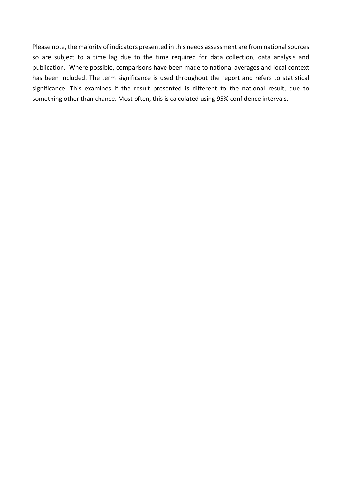Please note, the majority of indicators presented in this needs assessment are from national sources so are subject to a time lag due to the time required for data collection, data analysis and publication. Where possible, comparisons have been made to national averages and local context has been included. The term significance is used throughout the report and refers to statistical significance. This examines if the result presented is different to the national result, due to something other than chance. Most often, this is calculated using 95% confidence intervals.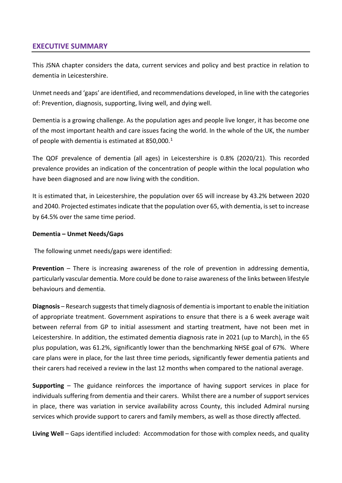#### **EXECUTIVE SUMMARY**

This JSNA chapter considers the data, current services and policy and best practice in relation to dementia in Leicestershire.

Unmet needs and 'gaps' are identified, and recommendations developed, in line with the categories of: Prevention, diagnosis, supporting, living well, and dying well.

<span id="page-4-0"></span>Dementia is a growing challenge. As the population ages and people live longer, it has become one of the most important health and care issues facing the world. In the whole of the UK, the number of people with dementia is estimated at 850,000.<sup>[1](#page-68-0)</sup>

The QOF prevalence of dementia (all ages) in Leicestershire is 0.8% (2020/21). This recorded prevalence provides an indication of the concentration of people within the local population who have been diagnosed and are now living with the condition.

It is estimated that, in Leicestershire, the population over 65 will increase by 43.2% between 2020 and 2040. Projected estimates indicate that the population over 65, with dementia, is set to increase by 64.5% over the same time period.

#### **Dementia – Unmet Needs/Gaps**

The following unmet needs/gaps were identified:

**Prevention** – There is increasing awareness of the role of prevention in addressing dementia, particularly vascular dementia. More could be done to raise awareness of the links between lifestyle behaviours and dementia.

**Diagnosis** – Research suggests that timely diagnosis of dementia is important to enable the initiation of appropriate treatment. Government aspirations to ensure that there is a 6 week average wait between referral from GP to initial assessment and starting treatment, have not been met in Leicestershire. In addition, the estimated dementia diagnosis rate in 2021 (up to March), in the 65 plus population, was 61.2%, significantly lower than the benchmarking NHSE goal of 67%. Where care plans were in place, for the last three time periods, significantly fewer dementia patients and their carers had received a review in the last 12 months when compared to the national average.

**Supporting** – The guidance reinforces the importance of having support services in place for individuals suffering from dementia and their carers. Whilst there are a number of support services in place, there was variation in service availability across County, this included Admiral nursing services which provide support to carers and family members, as well as those directly affected.

**Living Well** – Gaps identified included: Accommodation for those with complex needs, and quality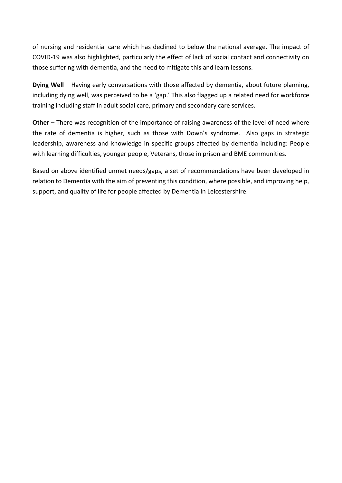of nursing and residential care which has declined to below the national average. The impact of COVID-19 was also highlighted, particularly the effect of lack of social contact and connectivity on those suffering with dementia, and the need to mitigate this and learn lessons.

**Dying Well** – Having early conversations with those affected by dementia, about future planning, including dying well, was perceived to be a 'gap.' This also flagged up a related need for workforce training including staff in adult social care, primary and secondary care services.

**Other** – There was recognition of the importance of raising awareness of the level of need where the rate of dementia is higher, such as those with Down's syndrome. Also gaps in strategic leadership, awareness and knowledge in specific groups affected by dementia including: People with learning difficulties, younger people, Veterans, those in prison and BME communities.

Based on above identified unmet needs/gaps, a set of recommendations have been developed in relation to Dementia with the aim of preventing this condition, where possible, and improving help, support, and quality of life for people affected by Dementia in Leicestershire.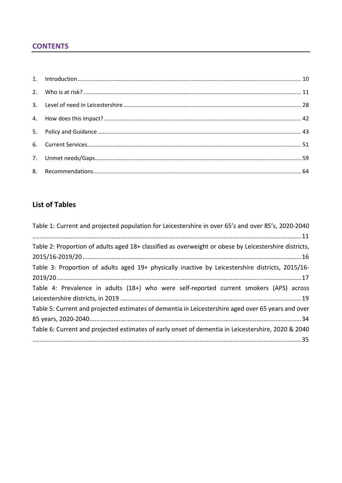#### **CONTENTS**

### **List of Tables**

| Table 1: Current and projected population for Leicestershire in over 65's and over 85's, 2020-2040    |
|-------------------------------------------------------------------------------------------------------|
|                                                                                                       |
| Table 2: Proportion of adults aged 18+ classified as overweight or obese by Leicestershire districts, |
|                                                                                                       |
| Table 3: Proportion of adults aged 19+ physically inactive by Leicestershire districts, 2015/16-      |
|                                                                                                       |
| Table 4: Prevalence in adults (18+) who were self-reported current smokers (APS) across               |
|                                                                                                       |
| Table 5: Current and projected estimates of dementia in Leicestershire aged over 65 years and over    |
|                                                                                                       |
| Table 6: Current and projected estimates of early onset of dementia in Leicestershire, 2020 & 2040    |
|                                                                                                       |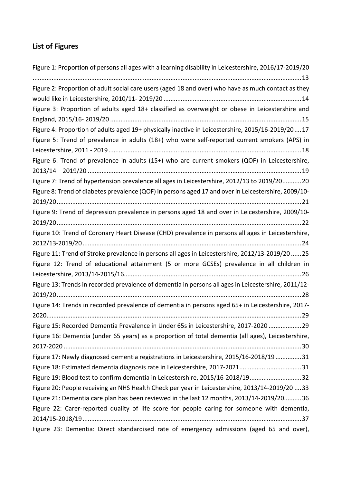## **List of Figures**

| Figure 1: Proportion of persons all ages with a learning disability in Leicestershire, 2016/17-2019/20 |
|--------------------------------------------------------------------------------------------------------|
|                                                                                                        |
| Figure 2: Proportion of adult social care users (aged 18 and over) who have as much contact as they    |
|                                                                                                        |
| Figure 3: Proportion of adults aged 18+ classified as overweight or obese in Leicestershire and        |
|                                                                                                        |
| Figure 4: Proportion of adults aged 19+ physically inactive in Leicestershire, 2015/16-2019/2017       |
| Figure 5: Trend of prevalence in adults (18+) who were self-reported current smokers (APS) in          |
|                                                                                                        |
| Figure 6: Trend of prevalence in adults (15+) who are current smokers (QOF) in Leicestershire,         |
| Figure 7: Trend of hypertension prevalence all ages in Leicestershire, 2012/13 to 2019/20 20           |
| Figure 8: Trend of diabetes prevalence (QOF) in persons aged 17 and over in Leicestershire, 2009/10-   |
| Figure 9: Trend of depression prevalence in persons aged 18 and over in Leicestershire, 2009/10-       |
|                                                                                                        |
| Figure 10: Trend of Coronary Heart Disease (CHD) prevalence in persons all ages in Leicestershire,     |
|                                                                                                        |
| Figure 11: Trend of Stroke prevalence in persons all ages in Leicestershire, 2012/13-2019/20  25       |
| Figure 12: Trend of educational attainment (5 or more GCSEs) prevalence in all children in             |
|                                                                                                        |
| Figure 13: Trends in recorded prevalence of dementia in persons all ages in Leicestershire, 2011/12-   |
|                                                                                                        |
| Figure 14: Trends in recorded prevalence of dementia in persons aged 65+ in Leicestershire, 2017-      |
|                                                                                                        |
| Figure 15: Recorded Dementia Prevalence in Under 65s in Leicestershire, 2017-2020  29                  |
| Figure 16: Dementia (under 65 years) as a proportion of total dementia (all ages), Leicestershire,     |
|                                                                                                        |
| Figure 17: Newly diagnosed dementia registrations in Leicestershire, 2015/16-2018/19 31                |
| Figure 18: Estimated dementia diagnosis rate in Leicestershire, 2017-202131                            |
| Figure 19: Blood test to confirm dementia in Leicestershire, 2015/16-2018/1932                         |
| Figure 20: People receiving an NHS Health Check per year in Leicestershire, 2013/14-2019/20  33        |
| Figure 21: Dementia care plan has been reviewed in the last 12 months, 2013/14-2019/2036               |
| Figure 22: Carer-reported quality of life score for people caring for someone with dementia,           |
|                                                                                                        |
| Figure 23: Dementia: Direct standardised rate of emergency admissions (aged 65 and over),              |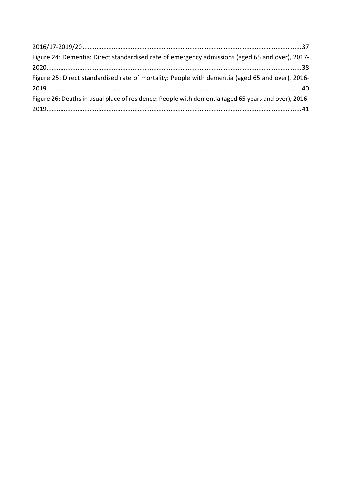| Figure 24: Dementia: Direct standardised rate of emergency admissions (aged 65 and over), 2017-     |  |
|-----------------------------------------------------------------------------------------------------|--|
|                                                                                                     |  |
| Figure 25: Direct standardised rate of mortality: People with dementia (aged 65 and over), 2016-    |  |
|                                                                                                     |  |
| Figure 26: Deaths in usual place of residence: People with dementia (aged 65 years and over), 2016- |  |
|                                                                                                     |  |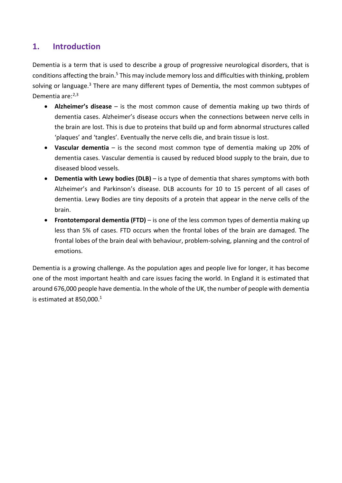## <span id="page-9-0"></span>**1. Introduction**

Dementia is a term that is used to describe a group of progressive neurological disorders, that is conditions affecting the brain.<sup>[5](#page-10-2)</sup> This may include memory loss and difficulties with thinking, problem solving or language.<sup>3</sup> There are many different types of Dementia, the most common subtypes of Dementia are:<sup>[2](#page-68-1)[,3](#page-10-3)</sup>

- **Alzheimer's disease** is the most common cause of dementia making up two thirds of dementia cases. Alzheimer's disease occurs when the connections between nerve cells in the brain are lost. This is due to proteins that build up and form abnormal structures called 'plaques' and 'tangles'. Eventually the nerve cells die, and brain tissue is lost.
- **Vascular dementia** is the second most common type of dementia making up 20% of dementia cases. Vascular dementia is caused by reduced blood supply to the brain, due to diseased blood vessels.
- **Dementia with Lewy bodies (DLB)** is a type of dementia that shares symptoms with both Alzheimer's and Parkinson's disease. DLB accounts for 10 to 15 percent of all cases of dementia. Lewy Bodies are tiny deposits of a protein that appear in the nerve cells of the brain.
- **Frontotemporal dementia (FTD)** is one of the less common types of dementia making up less than 5% of cases. FTD occurs when the frontal lobes of the brain are damaged. The frontal lobes of the brain deal with behaviour, problem-solving, planning and the control of emotions.

Dementia is a growing challenge. As the population ages and people live for longer, it has become one of the most important health and care issues facing the world. In England it is estimated that around 676,000 people have dementia. In the whole of the UK, the number of people with dementia is estimated at  $850,000$ .<sup>1</sup>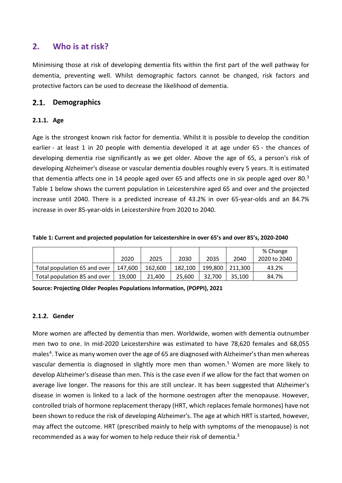## <span id="page-10-0"></span>**2. Who is at risk?**

Minimising those at risk of developing dementia fits within the first part of the well pathway for dementia, preventing well. Whilst demographic factors cannot be changed, risk factors and protective factors can be used to decrease the likelihood of dementia.

#### $2.1.$ **Demographics**

#### **2.1.1. Age**

<span id="page-10-3"></span>Age is the strongest known risk factor for dementia. Whilst it is possible to develop the condition earlier - at least 1 in 20 people with dementia developed it at age under 65 - the chances of developing dementia rise significantly as we get older. Above the age of 65, a person's risk of developing Alzheimer's disease or vascular dementia doubles roughly every 5 years. It is estimated that dementia affects one in 14 people aged over 65 and affects one in six people aged over 80.<sup>[3](#page-68-2)</sup> [Table 1](#page-10-1) below shows the current population in Leicestershire aged 65 and over and the projected increase until 2040. There is a predicted increase of 43.2% in over 65-year-olds and an 84.7% increase in over 85-year-olds in Leicestershire from 2020 to 2040.

<span id="page-10-1"></span>

|  |  |  | Table 1: Current and projected population for Leicestershire in over 65's and over 85's, 2020-2040 |
|--|--|--|----------------------------------------------------------------------------------------------------|
|--|--|--|----------------------------------------------------------------------------------------------------|

|                              | 2020    | 2025    | 2030    | 2035    | 2040    | % Change<br>2020 to 2040 |
|------------------------------|---------|---------|---------|---------|---------|--------------------------|
|                              |         |         |         |         |         |                          |
| Total population 65 and over | 147.600 | 162.600 | 182.100 | 199.800 | 211.300 | 43.2%                    |
| Total population 85 and over | 19.000  | 21.400  | 25.600  | 32.700  | 35.100  | 84.7%                    |

**Source: Projecting Older Peoples Populations Information, (POPPI), 2021**

#### **2.1.2. Gender**

<span id="page-10-2"></span>More women are affected by dementia than men. Worldwide, women with dementia outnumber men two to one. In mid-2020 Leicestershire was estimated to have 78,620 females and 68,055 males<sup>[4](#page-68-3)</sup>. Twice as many women over the age of 65 are diagnosed with Alzheimer's than men whereas vascular dementia is diagnosed in slightly more men than women.<sup>[5](#page-68-4)</sup> Women are more likely to develop Alzheimer's disease than men. This is the case even if we allow for the fact that women on average live longer. The reasons for this are still unclear. It has been suggested that Alzheimer's disease in women is linked to a lack of the hormone oestrogen after the menopause. However, controlled trials of hormone replacement therapy (HRT, which replaces female hormones) have not been shown to reduce the risk of developing Alzheimer's. The age at which HRT is started, however, may affect the outcome. HRT (prescribed mainly to help with symptoms of the menopause) is not recommended as a way for women to help reduce their risk of dementia[.3](#page-10-3)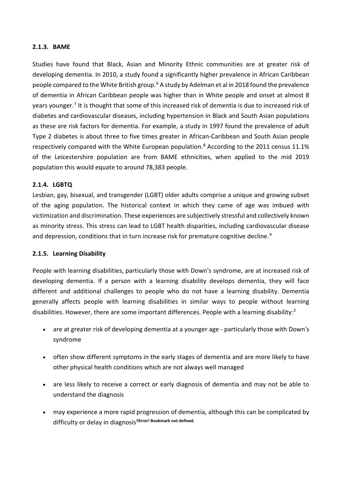#### **2.1.3. BAME**

<span id="page-11-1"></span>Studies have found that Black, Asian and Minority Ethnic communities are at greater risk of developing dementia. In 2010, a study found a significantly higher prevalence in African Caribbean people compared to the White British group.[6](#page-68-5) A study by Adelman et al in 2018 found the prevalence of dementia in African Caribbean people was higher than in White people and onset at almost 8 years younger.<sup>[7](#page-68-6)</sup> It is thought that some of this increased risk of dementia is due to increased risk of diabetes and cardiovascular diseases, including hypertension in Black and South Asian populations as these are risk factors for dementia. For example, a study in 1997 found the prevalence of adult Type 2 diabetes is about three to five times greater in African-Caribbean and South Asian people respectively compared with the White European population.<sup>[8](#page-68-7)</sup> According to the 2011 census 11.1% of the Leicestershire population are from BAME ethnicities, when applied to the mid 2019 population this would equate to around 78,383 people.

#### **2.1.4. LGBTQ**

Lesbian, gay, bisexual, and transgender (LGBT) older adults comprise a unique and growing subset of the aging population. The historical context in which they came of age was imbued with victimization and discrimination. These experiences are subjectively stressful and collectively known as minority stress. This stress can lead to LGBT health disparities, including cardiovascular disease and depression, conditions that in turn increase risk for premature cognitive decline.<sup>[9](#page-68-8)</sup>

#### <span id="page-11-0"></span>**2.1.5. Learning Disability**

People with learning disabilities, particularly those with Down's syndrome, are at increased risk of developing dementia. If a person with a learning disability develops dementia, they will face different and additional challenges to people who do not have a learning disability. Dementia generally affects people with learning disabilities in similar ways to people without learning disabilities. However, there are some important differences. People with a learning disability: $3$ 

- are at greater risk of developing dementia at a younger age particularly those with Down's syndrome
- often show different symptoms in the early stages of dementia and are more likely to have other physical health conditions which are not always well managed
- are less likely to receive a correct or early diagnosis of dementia and may not be able to understand the diagnosis
- may experience a more rapid progression of dementia, although this can be complicated by difficulty or delay in diagnosi[s9](#page-11-0)**Error! Bookmark not defined.**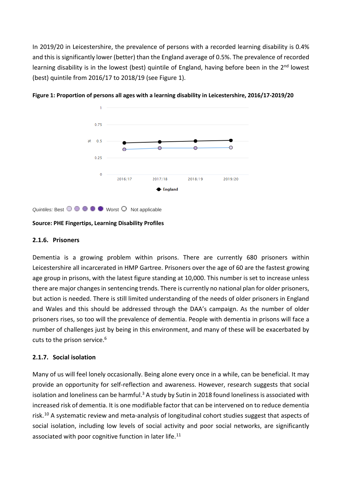In 2019/20 in Leicestershire, the prevalence of persons with a recorded learning disability is 0.4% and this is significantly lower (better) than the England average of 0.5%. The prevalence of recorded learning disability is in the lowest (best) quintile of England, having before been in the 2<sup>nd</sup> lowest (best) quintile from 2016/17 to 2018/19 (see [Figure 1\)](#page-12-0).



<span id="page-12-0"></span>**Figure 1: Proportion of persons all ages with a learning disability in Leicestershire, 2016/17-2019/20**

*Quintiles:* Best  $\odot$   $\odot$   $\odot$   $\odot$   $\odot$  Worst  $\odot$  Not applicable

#### **Source: PHE Fingertips, Learning Disability Profiles**

#### **2.1.6. Prisoners**

Dementia is a growing problem within prisons. There are currently 680 prisoners within Leicestershire all incarcerated in HMP Gartree. Prisoners over the age of 60 are the fastest growing age group in prisons, with the latest figure standing at 10,000. This number is set to increase unless there are major changes in sentencing trends. There is currently no national plan for older prisoners, but action is needed. There is still limited understanding of the needs of older prisoners in England and Wales and this should be addressed through the DAA's campaign. As the number of older prisoners rises, so too will the prevalence of dementia. People with dementia in prisons will face a number of challenges just by being in this environment, and many of these will be exacerbated by cuts to the prison service.<sup>6</sup>

#### **2.1.7. Social isolation**

Many of us will feel lonely occasionally. Being alone every once in a while, can be beneficial. It may provide an opportunity for self-reflection and awareness. However, research suggests that social isolation and loneliness can be harmful.<sup>3</sup> A study by Sutin in 2018 found loneliness is associated with increased risk of dementia. It is one modifiable factor that can be intervened on to reduce dementia risk.<sup>[10](#page-68-9)</sup> A systematic review and meta-analysis of longitudinal cohort studies suggest that aspects of social isolation, including low levels of social activity and poor social networks, are significantly associated with poor cognitive function in later life.<sup>[11](#page-68-10)</sup>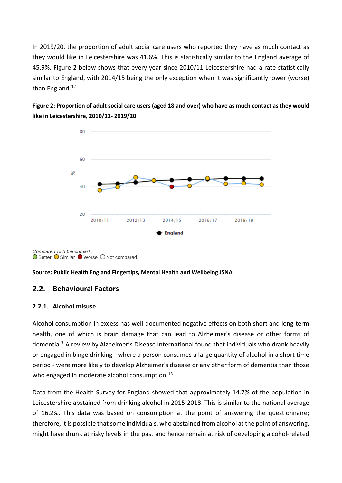In 2019/20, the proportion of adult social care users who reported they have as much contact as they would like in Leicestershire was 41.6%. This is statistically similar to the England average of 45.9%. [Figure 2](#page-13-0) below shows that every year since 2010/11 Leicestershire had a rate statistically similar to England, with 2014/15 being the only exception when it was significantly lower (worse) than England.<sup>[12](#page-68-11)</sup>

<span id="page-13-1"></span><span id="page-13-0"></span>**Figure 2: Proportion of adult social care users (aged 18 and over) who have as much contact as they would like in Leicestershire, 2010/11- 2019/20**



*Compared with benchmark:* **O** Better O Similar ● Worse O Not compared

#### **Source: Public Health England Fingertips, Mental Health and Wellbeing JSNA**

#### $2.2.$ **Behavioural Factors**

#### **2.2.1. Alcohol misuse**

Alcohol consumption in excess has well-documented negative effects on both short and long-term health, one of which is brain damage that can lead to Alzheimer's disease or other forms of dementia[.3](#page-10-3) A review by Alzheimer's Disease International found that individuals who drank heavily or engaged in binge drinking - where a person consumes a large quantity of alcohol in a short time period - were more likely to develop Alzheimer's disease or any other form of dementia than those who engaged in moderate alcohol consumption.<sup>[13](#page-68-12)</sup>

Data from the Health Survey for England showed that approximately 14.7% of the population in Leicestershire abstained from drinking alcohol in 2015-2018. This is similar to the national average of 16.2%. This data was based on consumption at the point of answering the questionnaire; therefore, it is possible that some individuals, who abstained from alcohol at the point of answering, might have drunk at risky levels in the past and hence remain at risk of developing alcohol-related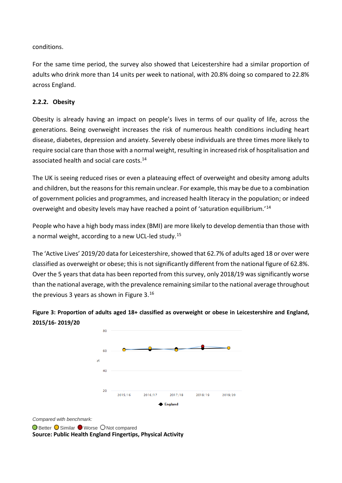conditions.

For the same time period, the survey also showed that Leicestershire had a similar proportion of adults who drink more than 14 units per week to national, with 20.8% doing so compared to 22.8% across England.

#### **2.2.2. Obesity**

Obesity is already having an impact on people's lives in terms of our quality of life, across the generations. Being overweight [increases the r](http://cks.nice.org.uk/obesity)isk of numerous health conditions including heart disease, diabetes, depression and anxiety. Severely obese individuals are three times more likely to require social care than those with a normal weight, resulting in [increased risk of hospitalisation and](http://www.nature.com/ijo/journal/v37/n6/full/ijo2012155a.html)  [associated health and social care costs.](http://www.nature.com/ijo/journal/v37/n6/full/ijo2012155a.html)<sup>[14](#page-14-1)</sup>

The UK is seeing reduced rises or even a plateauing effect of overweight and obesity among adults and children, but the reasons for this remain unclear. For example, this may be due to a combination of government policies and programmes, and increased health literacy in the population; or indeed overweight and obesity levels may have reached a point of 'saturation equilibrium.'[14](#page-68-13)

People who have a high body mass index (BMI) are more likely to develop dementia than those with a normal weight, according to a new UCL-led study.[15](#page-69-0)

The 'Active Lives' 2019/20 data for Leicestershire, showed that 62.7% of adults aged 18 or over were classified as overweight or obese; this is not significantly different from the national figure of 62.8%. Over the 5 years that data has been reported from this survey, only 2018/19 was significantly worse than the national average, with the prevalence remaining similar to the national average throughout the previous 3 years as shown in [Figure 3.](#page-14-0)<sup>[16](#page-69-1)</sup>

<span id="page-14-0"></span>

<span id="page-14-2"></span><span id="page-14-1"></span>

*Compared with benchmark:*

**O** Better **O** Similar ● Worse O Not compared **Source: Public Health England Fingertips, Physical Activity**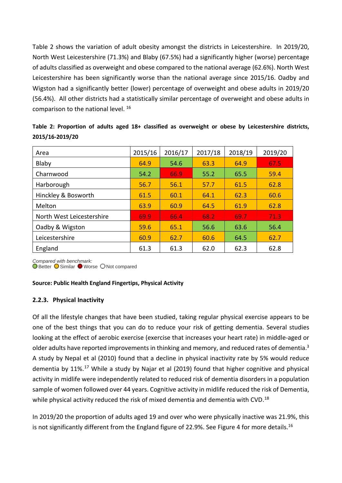[Table 2](#page-15-0) shows the variation of adult obesity amongst the districts in Leicestershire. In 2019/20, North West Leicestershire (71.3%) and Blaby (67.5%) had a significantly higher (worse) percentage of adults classified as overweight and obese compared to the national average (62.6%). North West Leicestershire has been significantly worse than the national average since 2015/16. Oadby and Wigston had a significantly better (lower) percentage of overweight and obese adults in 2019/20 (56.4%). All other districts had a statistically similar percentage of overweight and obese adults in comparison to the national level. [16](#page-14-2)

| Area                      | 2015/16 | 2016/17 | 2017/18 | 2018/19 | 2019/20 |
|---------------------------|---------|---------|---------|---------|---------|
| Blaby                     | 64.9    | 54.6    | 63.3    | 64.9    | 67.5    |
| Charnwood                 | 54.2    | 66.9    | 55.2    | 65.5    | 59.4    |
| Harborough                | 56.7    | 56.1    | 57.7    | 61.5    | 62.8    |
| Hinckley & Bosworth       | 61.5    | 60.1    | 64.1    | 62.3    | 60.6    |
| Melton                    | 63.9    | 60.9    | 64.5    | 61.9    | 62.8    |
| North West Leicestershire | 69.9    | 66.4    | 68.2    | 69.7    | 71.3    |
| Oadby & Wigston           | 59.6    | 65.1    | 56.6    | 63.6    | 56.4    |
| Leicestershire            | 60.9    | 62.7    | 60.6    | 64.5    | 62.7    |
| England                   | 61.3    | 61.3    | 62.0    | 62.3    | 62.8    |

<span id="page-15-0"></span>**Table 2: Proportion of adults aged 18+ classified as overweight or obese by Leicestershire districts, 2015/16-2019/20**

*Compared with benchmark:*

**O** Better ● Similar ● Worse ● Not compared

#### **Source: Public Health England Fingertips, Physical Activity**

#### **2.2.3. Physical Inactivity**

Of all the lifestyle changes that have been studied, taking regular physical exercise appears to be one of the best things that you can do to reduce your risk of getting dementia. Several studies looking at the effect of aerobic exercise (exercise that increases your heart rate) in middle-aged or older adults have reported improvements in thinking and memory, and reduced rates of dementia.<sup>3</sup> A study by Nepal et al (2010) found that a decline in physical inactivity rate by 5% would reduce dementia by 11%.<sup>[17](#page-69-2)</sup> While a study by Najar et al (2019) found that higher cognitive and physical activity in midlife were independently related to reduced risk of dementia disorders in a population sample of women followed over 44 years. Cognitive activity in midlife reduced the risk of Dementia, while physical activity reduced the risk of mixed dementia and dementia with CVD.<sup>[18](#page-69-3)</sup>

In 2019/20 the proportion of adults aged 19 and over who were physically inactive was 21.9%, this is not significantly different from the England figure of 22.9%. See [Figure 4](#page-16-1) for more details.<sup>16</sup>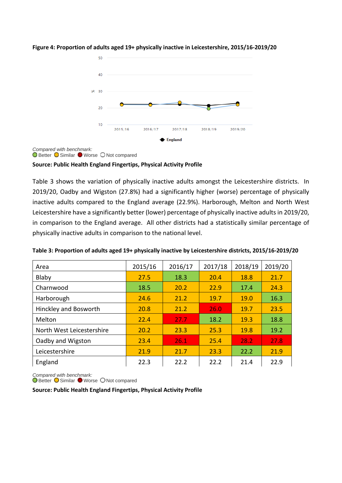

#### <span id="page-16-1"></span>**Figure 4: Proportion of adults aged 19+ physically inactive in Leicestershire, 2015/16-2019/20**

*Compared with benchmark:*

**O** Better **O** Similar ● Worse O Not compared

#### **Source: Public Health England Fingertips, Physical Activity Profile**

[Table 3](#page-16-0) shows the variation of physically inactive adults amongst the Leicestershire districts. In 2019/20, Oadby and Wigston (27.8%) had a significantly higher (worse) percentage of physically inactive adults compared to the England average (22.9%). Harborough, Melton and North West Leicestershire have a significantly better (lower) percentage of physically inactive adults in 2019/20, in comparison to the England average. All other districts had a statistically similar percentage of physically inactive adults in comparison to the national level.

| Area                      | 2015/16 | 2016/17 | 2017/18 | 2018/19 | 2019/20 |
|---------------------------|---------|---------|---------|---------|---------|
| Blaby                     | 27.5    | 18.3    | 20.4    | 18.8    | 21.7    |
| Charnwood                 | 18.5    | 20.2    | 22.9    | 17.4    | 24.3    |
| Harborough                | 24.6    | 21.2    | 19.7    | 19.0    | 16.3    |
| Hinckley and Bosworth     | 20.8    | 21.2    | 26.0    | 19.7    | 23.5    |
| Melton                    | 22.4    | 27.7    | 18.2    | 19.3    | 18.8    |
| North West Leicestershire | 20.2    | 23.3    | 25.3    | 19.8    | 19.2    |
| Oadby and Wigston         | 23.4    | 26.1    | 25.4    | 28.2    | 27.8    |
| Leicestershire            | 21.9    | 21.7    | 23.3    | 22.2    | 21.9    |
| England                   | 22.3    | 22.2    | 22.2    | 21.4    | 22.9    |

<span id="page-16-0"></span>**Table 3: Proportion of adults aged 19+ physically inactive by Leicestershire districts, 2015/16-2019/20**

*Compared with benchmark:*

**O** Better ● Similar ● Worse ● Not compared

**Source: Public Health England Fingertips, Physical Activity Profile**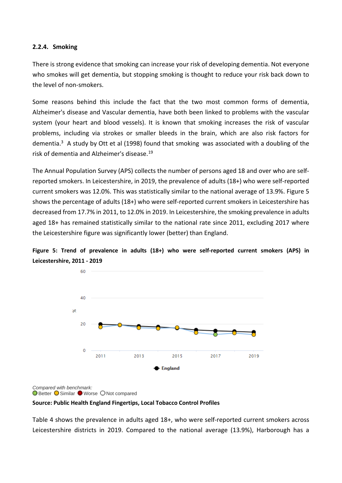#### **2.2.4. Smoking**

There is strong evidence that smoking can increase your risk of developing dementia. Not everyone who smokes will get dementia, but stopping smoking is thought to reduce your risk back down to the level of non-smokers.

Some reasons behind this include the fact that the two most common forms of dementia, Alzheimer's disease and Vascular dementia, have both been linked to problems with the vascular system (your heart and blood vessels). It is known that smoking increases the risk of vascular problems, including via strokes or smaller bleeds in the brain, which are also risk factors for dementia.<sup>3</sup> A study by Ott et al (1998) found that smoking was associated with a doubling of the risk of dementia and Alzheimer's disease[.19](#page-69-4)

<span id="page-17-1"></span>The Annual Population Survey (APS) collects the number of persons aged 18 and over who are selfreported smokers. In Leicestershire, in 2019, the prevalence of adults (18+) who were self-reported current smokers was 12.0%. This was statistically similar to the national average of 13.9%. [Figure 5](#page-17-0) shows the percentage of adults (18+) who were self-reported current smokers in Leicestershire has decreased from 17.7% in 2011, to 12.0% in 2019. In Leicestershire, the smoking prevalence in adults aged 18+ has remained statistically similar to the national rate since 2011, excluding 2017 where the Leicestershire figure was significantly lower (better) than England.

<span id="page-17-0"></span>



*Compared with benchmark:* **O** Better O Similar ● Worse O Not compared

**Source: Public Health England Fingertips, Local Tobacco Control Profiles**

[Table 4](#page-18-0) shows the prevalence in adults aged 18+, who were self-reported current smokers across Leicestershire districts in 2019. Compared to the national average (13.9%), Harborough has a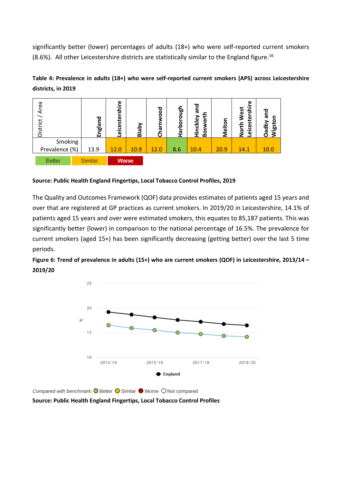significantly better (lower) percentages of adults (18+) who were self-reported current smokers (8.6%). All other Leicestershire districts are statistically similar to the England figure.<sup>[16](#page-14-2)</sup>

#### <span id="page-18-0"></span>**Table 4: Prevalence in adults (18+) who were self-reported current smokers (APS) across Leicestershire districts, in 2019**



#### **Source: Public Health England Fingertips, Local Tobacco Control Profiles, 2019**

The Quality and Outcomes Framework (QOF) data provides estimates of patients aged 15 years and over that are registered at GP practices as current smokers. In 2019/20 in Leicestershire, 14.1% of patients aged 15 years and over were estimated smokers, this equates to 85,187 patients. This was significantly better (lower) in comparison to the national percentage of 16.5%. The prevalence for current smokers (aged 15+) has been significantly decreasing (getting better) over the last 5 time periods.

<span id="page-18-1"></span>**Figure 6: Trend of prevalence in adults (15+) who are current smokers (QOF) in Leicestershire, 2013/14 – 2019/20**



*Compared with benchmark:* ■ Better ■ Similar ■ Worse ■ Not compared **Source: Public Health England Fingertips, Local Tobacco Control Profiles**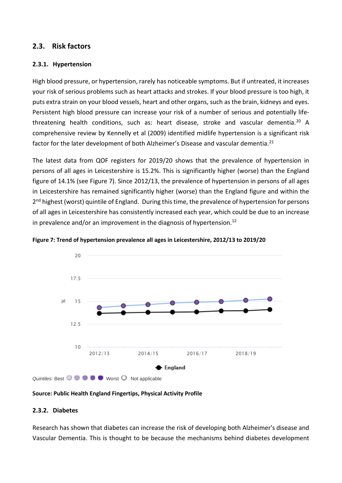#### **2.3. Risk factors**

#### **2.3.1. Hypertension**

<span id="page-19-1"></span>High blood pressure, or hypertension, rarely has noticeable symptoms. But if untreated, it increases your risk of serious problems such as heart attacks and strokes. If your blood pressure is too high, it puts extra strain on your blood vessels, heart and other organs, such as the brain, kidneys and eyes. Persistent high blood pressure can increase your risk of a number of serious and potentially lifethreatening health conditions, such as: heart disease, stroke and vascular dementia.[20](#page-69-5) A comprehensive review by Kennelly et al (2009) identified midlife hypertension is a significant risk factor for the later development of both Alzheimer's Disease and vascular dementia.<sup>[21](#page-69-6)</sup>

The latest data from QOF registers for 2019/20 shows that the prevalence of hypertension in persons of all ages in Leicestershire is 15.2%. This is significantly higher (worse) than the England figure of 14.1% (see [Figure 7\)](#page-19-0). Since 2012/13, the prevalence of hypertension in persons of all ages in Leicestershire has remained significantly higher (worse) than the England figure and within the 2<sup>nd</sup> highest (worst) quintile of England. During this time, the prevalence of hypertension for persons of all ages in Leicestershire has consistently increased each year, which could be due to an increase in prevalence and/or an improvement in the diagnosis of hypertension. $^{12}$ 



<span id="page-19-0"></span>**Figure 7: Trend of hypertension prevalence all ages in Leicestershire, 2012/13 to 2019/20**

#### **Source: Public Health England Fingertips, Physical Activity Profile**

#### **2.3.2. Diabetes**

Research has shown that diabetes can increase the risk of developing both Alzheimer's disease and Vascular Dementia. This is thought to be because the mechanisms behind diabetes development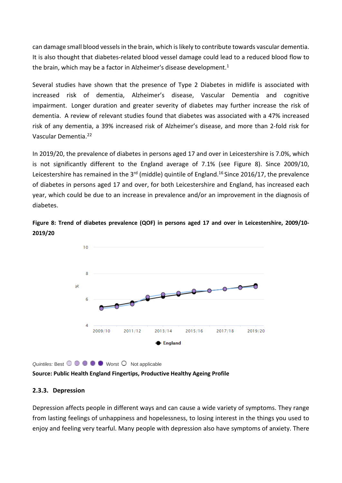can damage small blood vessels in the brain, which is likely to contribute towards vascular dementia. It is also thought that diabetes-related blood vessel damage could lead to a reduced blood flow to the brain, which may be a factor in Alzheimer's disease development.<sup>1</sup>

Several studies have shown that the presence of Type 2 Diabetes in midlife is associated with increased risk of dementia, Alzheimer's disease, Vascular Dementia and cognitive impairment. Longer duration and greater severity of diabetes may further increase the risk of dementia. A review of relevant studies found that diabetes was associated with a 47% increased risk of any dementia, a 39% increased risk of Alzheimer's disease, and more than 2-fold risk for Vascular Dementia.[22](#page-69-7)

In 2019/20, the prevalence of diabetes in persons aged 17 and over in Leicestershire is 7.0%, which is not significantly different to the England average of 7.1% (see [Figure 8\)](#page-20-0). Since 2009/10, Leicestershire has remained in the 3<sup>rd</sup> (middle) quintile of England.<sup>[16](#page-14-2)</sup> Since 2016/17, the prevalence of diabetes in persons aged 17 and over, for both Leicestershire and England, has increased each year, which could be due to an increase in prevalence and/or an improvement in the diagnosis of diabetes.

<span id="page-20-0"></span>



*Quintiles:* Best  $\bigcirc$   $\bigcirc$   $\bigcirc$   $\bigcirc$  Worst  $\bigcirc$  Not applicable

**Source: Public Health England Fingertips, Productive Healthy Ageing Profile**

#### **2.3.3. Depression**

Depression affects people in different ways and can cause a wide variety of symptoms. They range from lasting feelings of unhappiness and hopelessness, to losing interest in the things you used to enjoy and feeling very tearful. Many people with depression also have symptoms of anxiety. There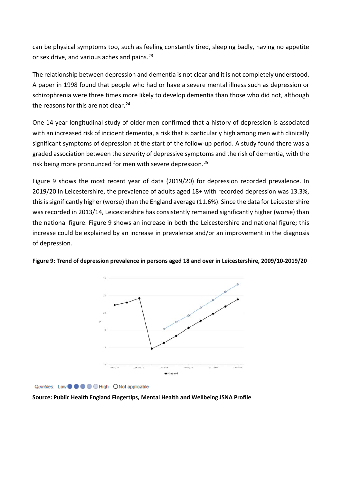can be physical symptoms too, such as feeling constantly tired, sleeping badly, having no appetite or sex drive, and various aches and pains.<sup>[23](#page-69-8)</sup>

The relationship between depression and dementia is not clear and it is not completely understood. A paper in 1998 found that people who had or have a severe mental illness such as depression or schizophrenia were three times more likely to develop dementia than those who did not, although the reasons for this are not clear.<sup>[24](#page-69-9)</sup>

One 14-year longitudinal study of older men confirmed that a history of depression is associated with an increased risk of incident dementia, a risk that is particularly high among men with clinically significant symptoms of depression at the start of the follow-up period. A study found there was a graded association between the severity of depressive symptoms and the risk of dementia, with the risk being more pronounced for men with severe depression.<sup>[25](#page-69-10)</sup>

[Figure 9](#page-21-0) shows the most recent year of data (2019/20) for depression recorded prevalence. In 2019/20 in Leicestershire, the prevalence of adults aged 18+ with recorded depression was 13.3%, this is significantly higher (worse) than the England average (11.6%). Since the data for Leicestershire was recorded in 2013/14, Leicestershire has consistently remained significantly higher (worse) than the national figure. Figure 9 shows an increase in both the Leicestershire and national figure; this increase could be explained by an increase in prevalence and/or an improvement in the diagnosis of depression.



<span id="page-21-0"></span>**Figure 9: Trend of depression prevalence in persons aged 18 and over in Leicestershire, 2009/10-2019/20**

Quintiles: Low  $\bullet$   $\bullet$   $\bullet$   $\bullet$  High ONot applicable

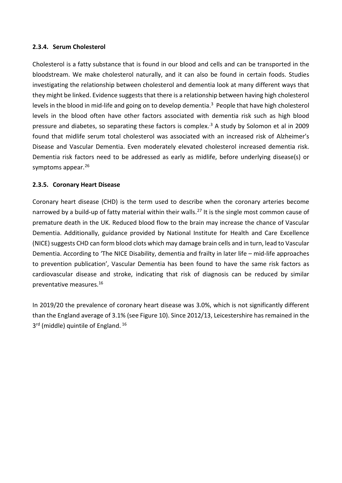#### **2.3.4. Serum Cholesterol**

Cholesterol is a fatty substance that is found in our blood and cells and can be transported in the bloodstream. We make cholesterol naturally, and it can also be found in certain foods. Studies investigating the relationship between cholesterol and dementia look at many different ways that they might be linked. Evidence suggests that there is a relationship between having high cholesterol levels in the blood in mid-life and going on to develop dementia[.3](#page-10-3) People that have high cholesterol levels in the blood often have other factors associated with dementia risk such as high blood pressure and diabetes, so separating these factors is complex.<sup>3</sup> A study by Solomon et al in 2009 found that midlife serum total cholesterol was associated with an increased risk of Alzheimer's Disease and Vascular Dementia. Even moderately elevated cholesterol increased dementia risk. Dementia risk factors need to be addressed as early as midlife, before underlying disease(s) or symptoms appear.<sup>[26](#page-69-11)</sup>

#### **2.3.5. Coronary Heart Disease**

Coronary heart disease (CHD) is the term used to describe when the coronary arteries become narrowed by a build-up of fatty material within their walls.<sup>[27](#page-69-12)</sup> It is the single most common cause of premature death in the UK. Reduced blood flow to the brain may increase the chance of Vascular Dementia. Additionally, guidance provided by National Institute for Health and Care Excellence (NICE) suggests CHD can form blood clots which may damage brain cells and in turn, lead to Vascular Dementia. According to 'The NICE Disability, dementia and frailty in later life – mid-life approaches to prevention publication', Vascular Dementia has been found to have the same risk factors as cardiovascular disease and stroke, indicating that risk of diagnosis can be reduced by similar preventative measures[.16](#page-14-2)

In 2019/20 the prevalence of coronary heart disease was 3.0%, which is not significantly different than the England average of 3.1% (see Figure 10). Since 2012/13, Leicestershire has remained in the 3<sup>rd</sup> (middle) quintile of England.<sup>[16](#page-14-2)</sup>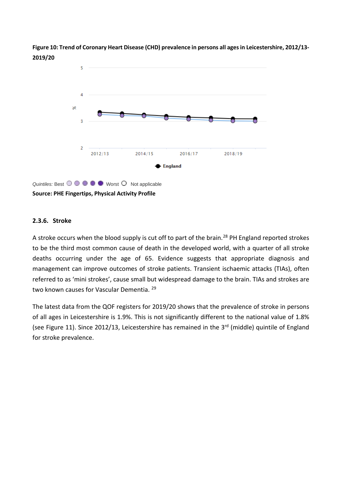<span id="page-23-0"></span>**Figure 10: Trend of Coronary Heart Disease (CHD) prevalence in persons all ages in Leicestershire, 2012/13- 2019/20**



 $Quintiles: Best  $\bigcirc \bigcirc$   $\bigcirc$   $\bigcirc$   $\bigcirc$  Worst  $\bigcirc$  Not applicable$ **Source: PHE Fingertips, Physical Activity Profile**

#### **2.3.6. Stroke**

A stroke occurs when the blood supply is cut off to part of the brain.<sup>[28](#page-69-13)</sup> PH England reported strokes to be the third most common cause of death in the developed world, with a quarter of all stroke deaths occurring under the age of 65. Evidence suggests that appropriate diagnosis and management can improve outcomes of stroke patients. Transient ischaemic attacks (TIAs), often referred to as 'mini strokes', cause small but widespread damage to the brain. TIAs and strokes are two known causes for Vascular Dementia. <sup>[29](#page-69-14)</sup>

The latest data from the QOF registers for 2019/20 shows that the prevalence of stroke in persons of all ages in Leicestershire is 1.9%. This is not significantly different to the national value of 1.8% (see [Figure 11\)](#page-24-0). Since 2012/13, Leicestershire has remained in the 3<sup>rd</sup> (middle) quintile of England for stroke prevalence.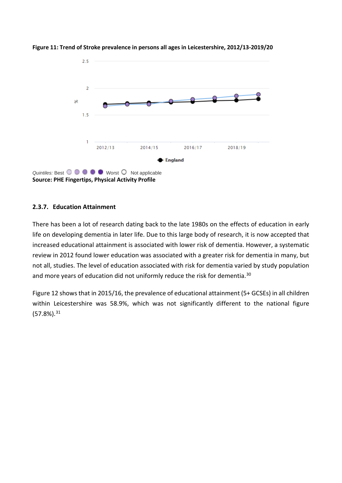

<span id="page-24-0"></span>**Figure 11: Trend of Stroke prevalence in persons all ages in Leicestershire, 2012/13-2019/20**

#### **2.3.7. Education Attainment**

There has been a lot of research dating back to the late 1980s on the effects of education in early life on developing dementia in later life. Due to this large body of research, it is now accepted that increased educational attainment is associated with lower risk of dementia. However, a systematic review in 2012 found lower education was associated with a greater risk for dementia in many, but not all, studies. The level of education associated with risk for dementia varied by study population and more years of education did not uniformly reduce the risk for dementia.<sup>[30](#page-69-15)</sup>

[Figure 12](#page-25-0) shows that in 2015/16, the prevalence of educational attainment (5+ GCSEs) in all children within Leicestershire was 58.9%, which was not significantly different to the national figure (57.8%). [31](#page-69-16)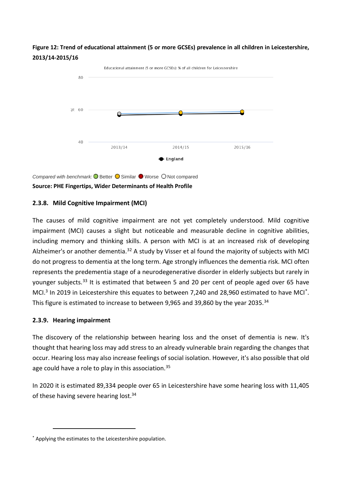<span id="page-25-0"></span>



*Compared with benchmark:* **O** Better **O** Similar **O** Worse O Not compared **Source: PHE Fingertips, Wider Determinants of Health Profile**

#### **2.3.8. Mild Cognitive Impairment (MCI)**

The causes of mild cognitive impairment are not yet completely understood. Mild cognitive impairment (MCI) causes a slight but noticeable and measurable decline in cognitive abilities, including memory and thinking skills. A person with MCI is at an increased risk of developing Alzheimer's or another dementia.<sup>[32](#page-69-17)</sup> A study by Visser et al found the majority of subjects with MCI do not progress to dementia at the long term. Age strongly influences the dementia risk. MCI often represents the predementia stage of a neurodegenerative disorder in elderly subjects but rarely in younger subjects.<sup>[33](#page-70-0)</sup> It is estimated that between 5 and 20 per cent of people aged over 65 have MCI.<sup>[3](#page-10-3)</sup> In 2019 in Leicestershire this equates to between 7,240 and 28,960 estimated to have MCI<sup>\*</sup>. This figure is estimated to increase to between 9,965 and 39,860 by the year 2035.<sup>[34](#page-70-1)</sup>

#### <span id="page-25-1"></span>**2.3.9. Hearing impairment**

The discovery of the relationship between hearing loss and the onset of dementia is new. It's thought that hearing loss may add stress to an already vulnerable brain regarding the changes that occur. Hearing loss may also increase feelings of social isolation. However, it's also possible that old age could have a role to play in this association.<sup>[35](#page-70-2)</sup>

In 2020 it is estimated 89,334 people over 65 in Leicestershire have some hearing loss with 11,405 of these having severe hearing lost.<sup>34</sup>

<span id="page-25-2"></span><sup>\*</sup> Applying the estimates to the Leicestershire population.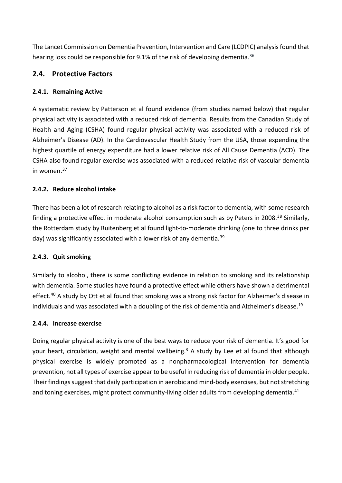The Lancet Commission on Dementia Prevention, Intervention and Care (LCDPIC) analysis found that hearing loss could be responsible for 9.1% of the risk of developing dementia.<sup>[36](#page-70-3)</sup>

#### **2.4. Protective Factors**

#### **2.4.1. Remaining Active**

A systematic review by Patterson et al found evidence (from studies named below) that regular physical activity is associated with a reduced risk of dementia. Results from the Canadian Study of Health and Aging (CSHA) found regular physical activity was associated with a reduced risk of Alzheimer's Disease (AD). In the Cardiovascular Health Study from the USA, those expending the highest quartile of energy expenditure had a lower relative risk of All Cause Dementia (ACD). The CSHA also found regular exercise was associated with a reduced relative risk of vascular dementia in women. [37](#page-70-4)

#### **2.4.2. Reduce alcohol intake**

There has been a lot of research relating to alcohol as a risk factor to dementia, with some research finding a protective effect in moderate alcohol consumption such as by Peters in 2008.<sup>[38](#page-70-5)</sup> Similarly, the Rotterdam study by Ruitenberg et al found light-to-moderate drinking (one to three drinks per day) was significantly associated with a lower risk of any dementia.<sup>[39](#page-70-6)</sup>

#### **2.4.3. Quit smoking**

Similarly to alcohol, there is some conflicting evidence in relation to smoking and its relationship with dementia. Some studies have found a protective effect while others have shown a detrimental effect.<sup>[40](#page-70-7)</sup> A study by Ott et al found that smoking was a strong risk factor for Alzheimer's disease in individuals and was associated with a doubling of the risk of dementia and Alzheimer's disease.<sup>19</sup>

#### **2.4.4. Increase exercise**

Doing regular physical activity is one of the best ways to reduce your risk of dementia. It's good for your heart, circulation, weight and mental wellbeing.<sup>3</sup> A study by Lee et al found that although physical exercise is widely promoted as a nonpharmacological intervention for dementia prevention, not all types of exercise appear to be useful in reducing risk of dementia in older people. Their findings suggest that daily participation in aerobic and mind-body exercises, but not stretching and toning exercises, might protect community-living older adults from developing dementia.<sup>[41](#page-70-8)</sup>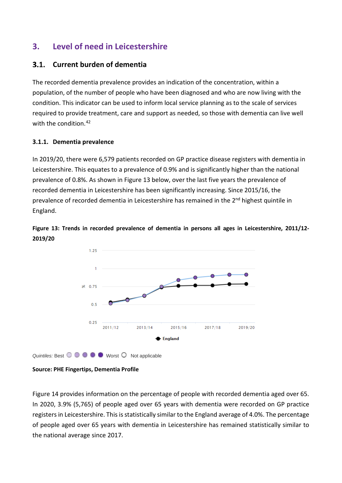## <span id="page-27-0"></span>**3. Level of need in Leicestershire**

#### **Current burden of dementia**

The recorded dementia prevalence provides an indication of the concentration, within a population, of the number of people who have been diagnosed and who are now living with the condition. This indicator can be used to inform local service planning as to the scale of services required to provide treatment, care and support as needed, so those with dementia can live well with the condition. [42](#page-70-9)

#### <span id="page-27-2"></span>**3.1.1. Dementia prevalence**

In 2019/20, there were 6,579 patients recorded on GP practice disease registers with dementia in Leicestershire. This equates to a prevalence of 0.9% and is significantly higher than the national prevalence of 0.8%. As shown in [Figure 13](#page-27-1) below, over the last five years the prevalence of recorded dementia in Leicestershire has been significantly increasing. Since 2015/16, the prevalence of recorded dementia in Leicestershire has remained in the 2<sup>nd</sup> highest quintile in England.



<span id="page-27-1"></span>**Figure 13: Trends in recorded prevalence of dementia in persons all ages in Leicestershire, 2011/12- 2019/20**

**Source: PHE Fingertips, Dementia Profile**

*Quintiles:* Best  $\odot$   $\odot$   $\odot$   $\odot$   $\odot$  Worst  $\odot$  Not applicable

[Figure 14](#page-28-0) provides information on the percentage of people with recorded dementia aged over 65. In 2020, 3.9% (5,765) of people aged over 65 years with dementia were recorded on GP practice registers in Leicestershire. This is statistically similar to the England average of 4.0%. The percentage of people aged over 65 years with dementia in Leicestershire has remained statistically similar to the national average since 2017.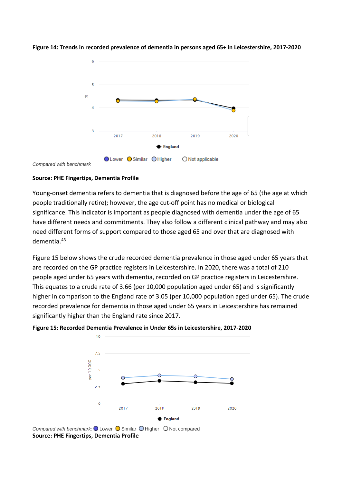

<span id="page-28-0"></span>**Figure 14: Trends in recorded prevalence of dementia in persons aged 65+ in Leicestershire, 2017-2020**

*Compared with benchmark*

#### **Source: PHE Fingertips, Dementia Profile**

Young-onset dementia refers to dementia that is diagnosed before the age of 65 (the age at which people traditionally retire); however, the age cut-off point has no medical or biological significance. This indicator is important as people diagnosed with dementia under the age of 65 have different needs and commitments. They also follow a different clinical pathway and may also need different forms of support compared to those aged 65 and over that are diagnosed with dementia.[43](#page-70-10)

[Figure 15](#page-28-1) below shows the crude recorded dementia prevalence in those aged under 65 years that are recorded on the GP practice registers in Leicestershire. In 2020, there was a total of 210 people aged under 65 years with dementia, recorded on GP practice registers in Leicestershire. This equates to a crude rate of 3.66 (per 10,000 population aged under 65) and is significantly higher in comparison to the England rate of 3.05 (per 10,000 population aged under 65). The crude recorded prevalence for dementia in those aged under 65 years in Leicestershire has remained significantly higher than the England rate since 2017.



<span id="page-28-1"></span>

*Compared with benchmark:* Lower O Similar O Higher O Not compared **Source: PHE Fingertips, Dementia Profile**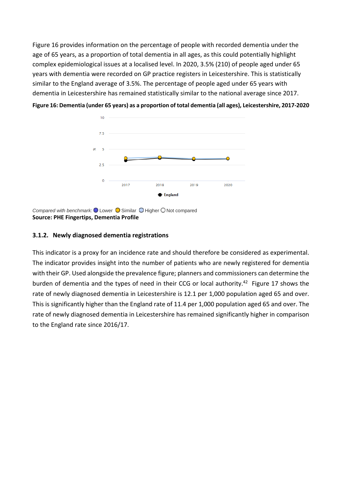Figure 16 provides information on the percentage of people with recorded dementia under the [age of 65](#page-29-1) years, as a proportion of total dementia in all ages, as this could potentially highlight complex epidemiological issues at a localised level. In 2020, 3.5% (210) of people aged under 65 years with dementia were recorded on GP practice registers in Leicestershire. This is statistically similar to the England average of 3.5%. The percentage of people aged under 65 years with dementia in Leicestershire has remained statistically similar to the national average since 2017.

<span id="page-29-1"></span>

<span id="page-29-0"></span>**Figure 16: Dementia (under 65 years) as a proportion of total dementia (all ages), Leicestershire, 2017-2020**

*Compared with benchmark:*  $\bigcirc$  Lower  $\bigcirc$  Similar  $\bigcirc$  Higher  $\bigcirc$  Not compared **Source: PHE Fingertips, Dementia Profile**

#### **3.1.2. Newly diagnosed dementia registrations**

This indicator is a proxy for an incidence rate and should therefore be considered as experimental. The indicator provides insight into the number of patients who are newly registered for dementia with their GP. Used alongside the prevalence figure; planners and commissioners can determine the burden of dementia and the types of need in their CCG or local authority.<sup>42</sup> [Figure 17](#page-30-0) shows the rate of newly diagnosed dementia in Leicestershire is 12.1 per 1,000 population aged 65 and over. This is significantly higher than the England rate of 11.4 per 1,000 population aged 65 and over. The rate of newly diagnosed dementia in Leicestershire has remained significantly higher in comparison to the England rate since 2016/17.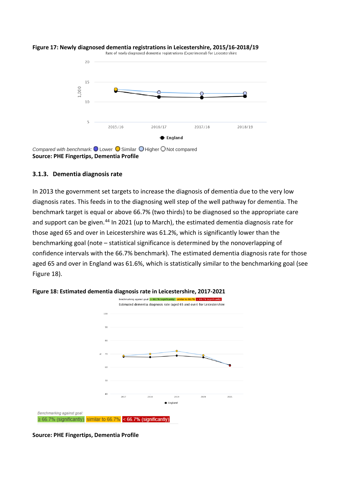

## <span id="page-30-0"></span>**Figure 17: Newly diagnosed dementia registrations in Leicestershire, 2015/16-2018/19**<br>Rate of newly diagnosed dementia registrations (Experimental) for Leicestershire

*Compared with benchmark:* Lower **C** Similar **O** Higher C Not compared **Source: PHE Fingertips, Dementia Profile**

#### **3.1.3. Dementia diagnosis rate**

In 2013 the government set targets to increase the diagnosis of dementia due to the very low diagnosis rates. This feeds in to the diagnosing well step of the well pathway for dementia. The benchmark target is equal or above 66.7% (two thirds) to be diagnosed so the appropriate care and support can be given.<sup>[44](#page-70-11)</sup> In 2021 (up to March), the estimated dementia diagnosis rate for those aged 65 and over in Leicestershire was 61.2%, which is significantly lower than the benchmarking goal (note – statistical significance is determined by the nonoverlapping of confidence intervals with the 66.7% benchmark). The estimated dementia diagnosis rate for those aged 65 and over in England was 61.6%, which is statistically similar to the benchmarking goal (see [Figure 18\)](#page-30-1).



#### <span id="page-30-1"></span>**Figure 18: Estimated dementia diagnosis rate in Leicestershire, 2017-2021**

**Source: PHE Fingertips, Dementia Profile**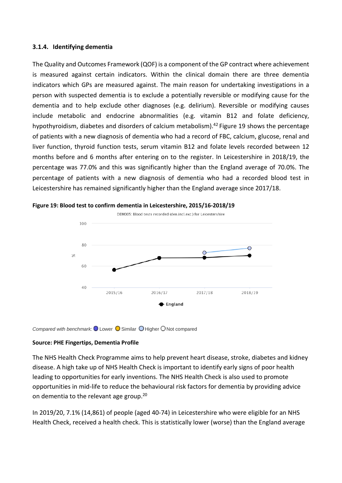#### **3.1.4. Identifying dementia**

The Quality and Outcomes Framework (QOF) is a component of the GP contract where achievement is measured against certain indicators. Within the clinical domain there are three dementia indicators which GPs are measured against. The main reason for undertaking investigations in a person with suspected dementia is to exclude a potentially reversible or modifying cause for the dementia and to help exclude other diagnoses (e.g. delirium). Reversible or modifying causes include metabolic and endocrine abnormalities (e.g. vitamin B12 and folate deficiency, hypothyroidism, diabetes and disorders of calcium metabolism).<sup>42</sup> [Figure 19](#page-31-0) shows the percentage of patients with a new diagnosis of dementia who had a record of FBC, calcium, glucose, renal and liver function, thyroid function tests, serum vitamin B12 and folate levels recorded between 12 months before and 6 months after entering on to the register. In Leicestershire in 2018/19, the percentage was 77.0% and this was significantly higher than the England average of 70.0%. The percentage of patients with a new diagnosis of dementia who had a recorded blood test in Leicestershire has remained significantly higher than the England average since 2017/18.



<span id="page-31-0"></span>**Figure 19: Blood test to confirm dementia in Leicestershire, 2015/16-2018/19**

*Compared with benchmark:* Lower **O** Similar **O** Higher O Not compared

#### **Source: PHE Fingertips, Dementia Profile**

The NHS Health Check Programme aims to help prevent heart disease, stroke, diabetes and kidney disease. A high take up of NHS Health Check is important to identify early signs of poor health leading to opportunities for early inventions. The NHS Health Check is also used to promote opportunities in mid-life to reduce the behavioural risk factors for dementia by providing advice on dementia to the relevant age group.<sup>20</sup>

In 2019/20, 7.1% (14,861) of people (aged 40-74) in Leicestershire who were eligible for an NHS Health Check, received a health check. This is statistically lower (worse) than the England average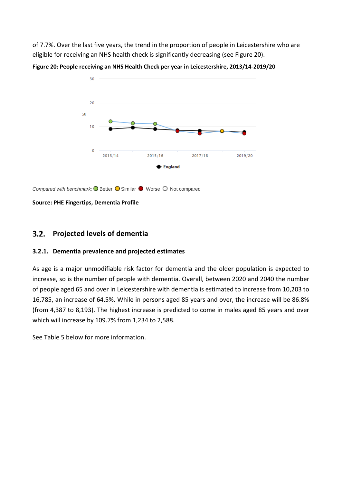of 7.7%. Over the last five years, the trend in the proportion of people in Leicestershire who are eligible for receiving an NHS health check is significantly decreasing (see [Figure 20\)](#page-32-0).

<span id="page-32-0"></span>**Figure 20: People receiving an NHS Health Check per year in Leicestershire, 2013/14-2019/20**



*Compared with benchmark:*  $\bigcirc$  Better  $\bigcirc$  Similar  $\bigcirc$  Worse  $\bigcirc$  Not compared

**Source: PHE Fingertips, Dementia Profile**

#### $3.2.$ **Projected levels of dementia**

#### **3.2.1. Dementia prevalence and projected estimates**

As age is a major unmodifiable risk factor for dementia and the older population is expected to increase, so is the number of people with dementia. Overall, between 2020 and 2040 the number of people aged 65 and over in Leicestershire with dementia is estimated to increase from 10,203 to 16,785, an increase of 64.5%. While in persons aged 85 years and over, the increase will be 86.8% (from 4,387 to 8,193). The highest increase is predicted to come in males aged 85 years and over which will increase by 109.7% from 1,234 to 2,588.

See [Table 5](#page-33-0) below for more information.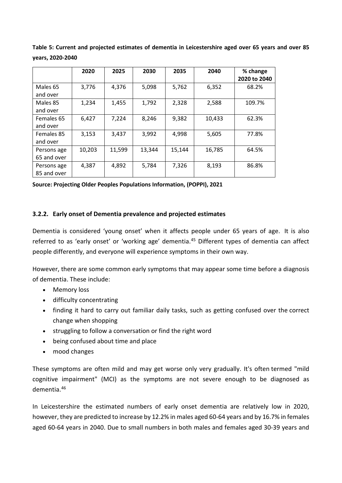|             | 2020   | 2025   | 2030   | 2035   | 2040   | % change<br>2020 to 2040 |
|-------------|--------|--------|--------|--------|--------|--------------------------|
|             |        |        |        |        |        |                          |
| Males 65    | 3,776  | 4,376  | 5,098  | 5,762  | 6,352  | 68.2%                    |
| and over    |        |        |        |        |        |                          |
| Males 85    | 1,234  | 1,455  | 1,792  | 2,328  | 2,588  | 109.7%                   |
| and over    |        |        |        |        |        |                          |
| Females 65  | 6.427  | 7,224  | 8,246  | 9,382  | 10,433 | 62.3%                    |
| and over    |        |        |        |        |        |                          |
| Females 85  | 3,153  | 3,437  | 3,992  | 4,998  | 5,605  | 77.8%                    |
| and over    |        |        |        |        |        |                          |
| Persons age | 10,203 | 11,599 | 13,344 | 15,144 | 16,785 | 64.5%                    |
| 65 and over |        |        |        |        |        |                          |
| Persons age | 4,387  | 4,892  | 5,784  | 7,326  | 8,193  | 86.8%                    |
| 85 and over |        |        |        |        |        |                          |

<span id="page-33-0"></span>**Table 5: Current and projected estimates of dementia in Leicestershire aged over 65 years and over 85 years, 2020-2040**

**Source: Projecting Older Peoples Populations Information, (POPPI), 2021**

#### **3.2.2. Early onset of Dementia prevalence and projected estimates**

Dementia is considered 'young onset' when it affects people under 65 years of age. It is also referred to as 'early onset' or 'working age' dementia.<sup>[45](#page-70-12)</sup> Different types of dementia can affect people differently, and everyone will experience symptoms in their own way.

However, there are some common early symptoms that may appear some time before a diagnosis of dementia. These include:

- Memory loss
- difficulty concentrating
- finding it hard to carry out familiar daily tasks, such as getting confused over the correct change when shopping
- struggling to follow a conversation or find the right word
- being confused about time and place
- mood changes

These symptoms are often mild and may get worse only very gradually. It's often termed "mild cognitive impairment" (MCI) as the symptoms are not severe enough to be diagnosed as dementia.[46](#page-70-13)

In Leicestershire the estimated numbers of early onset dementia are relatively low in 2020, however, they are predicted to increase by 12.2% in males aged 60-64 years and by 16.7% in females aged 60-64 years in 2040. Due to small numbers in both males and females aged 30-39 years and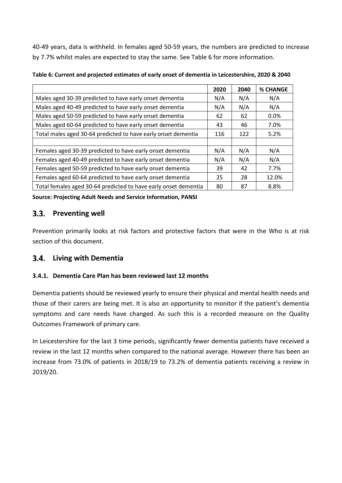40-49 years, data is withheld. In females aged 50-59 years, the numbers are predicted to increase by 7.7% whilst males are expected to stay the same. See [Table 6](#page-34-0) for more information.

|                                                                 | 2020 | 2040 | <b>% CHANGE</b> |
|-----------------------------------------------------------------|------|------|-----------------|
| Males aged 30-39 predicted to have early onset dementia         | N/A  | N/A  | N/A             |
| Males aged 40-49 predicted to have early onset dementia         | N/A  | N/A  | N/A             |
| Males aged 50-59 predicted to have early onset dementia         | 62   | 62   | 0.0%            |
| Males aged 60-64 predicted to have early onset dementia         | 43   | 46   | 7.0%            |
| Total males aged 30-64 predicted to have early onset dementia   | 116  | 122  | 5.2%            |
|                                                                 |      |      |                 |
| Females aged 30-39 predicted to have early onset dementia       | N/A  | N/A  | N/A             |
| Females aged 40-49 predicted to have early onset dementia       | N/A  | N/A  | N/A             |
| Females aged 50-59 predicted to have early onset dementia       |      | 42   | 7.7%            |
| Females aged 60-64 predicted to have early onset dementia       | 25   | 28   | 12.0%           |
| Total females aged 30-64 predicted to have early onset dementia | 80   | 87   | 8.8%            |

<span id="page-34-0"></span>**Table 6: Current and projected estimates of early onset of dementia in Leicestershire, 2020 & 2040**

**Source: Projecting Adult Needs and Service Information, PANSI**

#### $3.3.$ **Preventing well**

Prevention primarily looks at risk factors and protective factors that were in the Who is at risk section of this document.

#### $3.4.$ **Living with Dementia**

#### **3.4.1. Dementia Care Plan has been reviewed last 12 months**

Dementia patients should be reviewed yearly to ensure their physical and mental health needs and those of their carers are being met. It is also an opportunity to monitor if the patient's dementia symptoms and care needs have changed. As such this is a recorded measure on the Quality Outcomes Framework of primary care.

In Leicestershire for the last 3 time periods, significantly fewer dementia patients have received a review in the last 12 months when compared to the national average. However there has been an increase from 73.0% of patients in 2018/19 to 73.2% of dementia patients receiving a review in 2019/20.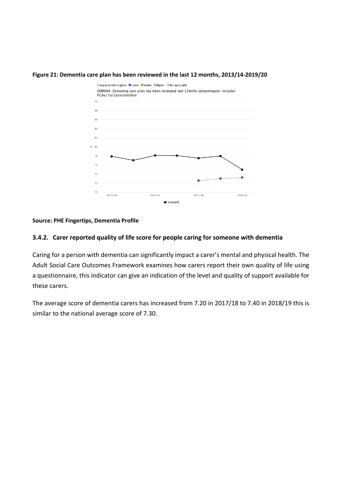#### <span id="page-35-0"></span>**Figure 21: Dementia care plan has been reviewed in the last 12 months, 2013/14-2019/20**



**Source: PHE Fingertips, Dementia Profile**

#### **3.4.2. Carer reported quality of life score for people caring for someone with dementia**

Caring for a person with dementia can significantly impact a carer's mental and physical health. The Adult Social Care Outcomes Framework examines how carers report their own quality of life using a questionnaire, this indicator can give an indication of the level and quality of support available for these carers.

The average score of dementia carers has increased from 7.20 in 2017/18 to 7.40 in 2018/19 this is similar to the national average score of 7.30.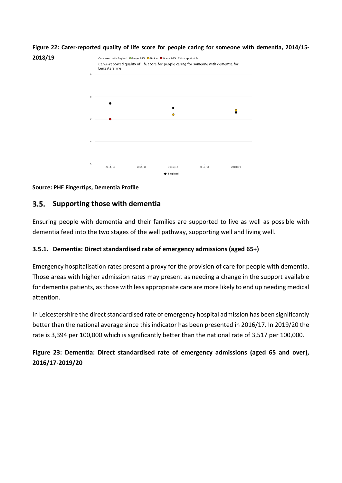

**Figure 22: Carer-reported quality of life score for people caring for someone with dementia, 2014/15-**

### **Source: PHE Fingertips, Dementia Profile**

**2018/19**

#### $3.5.$ **Supporting those with dementia**

Ensuring people with dementia and their families are supported to live as well as possible with dementia feed into the two stages of the well pathway, supporting well and living well.

### **3.5.1. Dementia: Direct standardised rate of emergency admissions (aged 65+)**

Emergency hospitalisation rates present a proxy for the provision of care for people with dementia. Those areas with higher admission rates may present as needing a change in the support available for dementia patients, as those with less appropriate care are more likely to end up needing medical attention.

In Leicestershire the direct standardised rate of emergency hospital admission has been significantly better than the national average since this indicator has been presented in 2016/17. In 2019/20 the rate is 3,394 per 100,000 which is significantly better than the national rate of 3,517 per 100,000.

**Figure 23: Dementia: Direct standardised rate of emergency admissions (aged 65 and over), 2016/17-2019/20**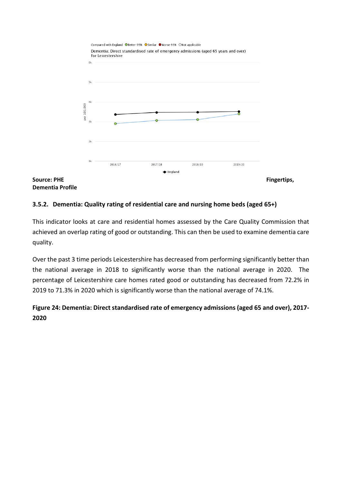

**Dementia Profile**

### **3.5.2. Dementia: Quality rating of residential care and nursing home beds (aged 65+)**

This indicator looks at care and residential homes assessed by the Care Quality Commission that achieved an overlap rating of good or outstanding. This can then be used to examine dementia care quality.

Over the past 3 time periods Leicestershire has decreased from performing significantly better than the national average in 2018 to significantly worse than the national average in 2020. The percentage of Leicestershire care homes rated good or outstanding has decreased from 72.2% in 2019 to 71.3% in 2020 which is significantly worse than the national average of 74.1%.

## **Figure 24: Dementia: Direct standardised rate of emergency admissions (aged 65 and over), 2017- 2020**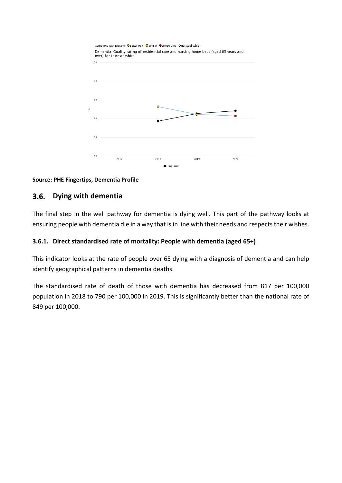

### **Source: PHE Fingertips, Dementia Profile**

#### $3.6.$ **Dying with dementia**

The final step in the well pathway for dementia is dying well. This part of the pathway looks at ensuring people with dementia die in a way that is in line with their needs and respects their wishes.

### **3.6.1. Direct standardised rate of mortality: People with dementia (aged 65+)**

This indicator looks at the rate of people over 65 dying with a diagnosis of dementia and can help identify geographical patterns in dementia deaths.

The standardised rate of death of those with dementia has decreased from 817 per 100,000 population in 2018 to 790 per 100,000 in 2019. This is significantly better than the national rate of 849 per 100,000.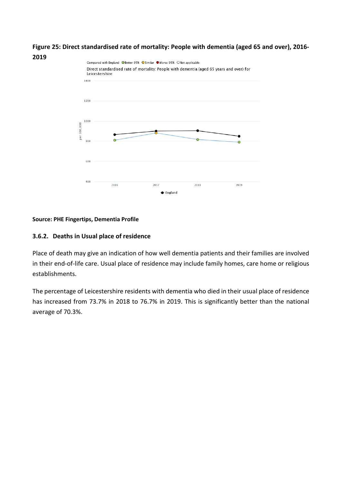



### **Source: PHE Fingertips, Dementia Profile**

### **3.6.2. Deaths in Usual place of residence**

Place of death may give an indication of how well dementia patients and their families are involved in their end-of-life care. Usual place of residence may include family homes, care home or religious establishments.

The percentage of Leicestershire residents with dementia who died in their usual place of residence has increased from 73.7% in 2018 to 76.7% in 2019. This is significantly better than the national average of 70.3%.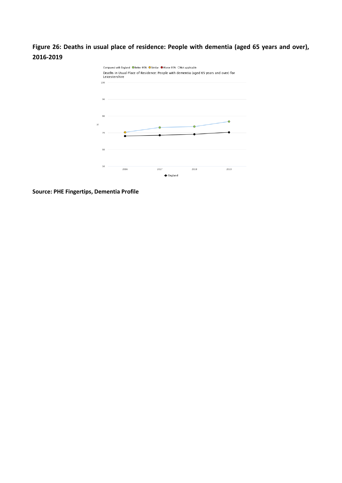**Figure 26: Deaths in usual place of residence: People with dementia (aged 65 years and over), 2016-2019**



**Source: PHE Fingertips, Dementia Profile**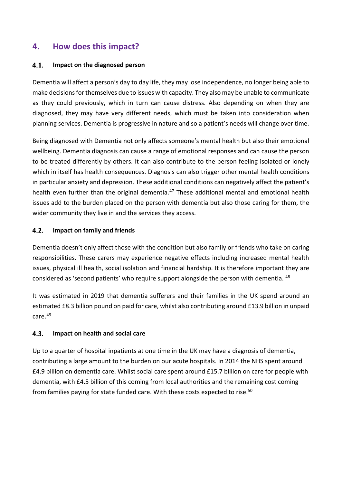# **4. How does this impact?**

#### $4.1.$ **Impact on the diagnosed person**

Dementia will affect a person's day to day life, they may lose independence, no longer being able to make decisions for themselves due to issues with capacity. They also may be unable to communicate as they could previously, which in turn can cause distress. Also depending on when they are diagnosed, they may have very different needs, which must be taken into consideration when planning services. Dementia is progressive in nature and so a patient's needs will change over time.

Being diagnosed with Dementia not only affects someone's mental health but also their emotional wellbeing. Dementia diagnosis can cause a range of emotional responses and can cause the person to be treated differently by others. It can also contribute to the person feeling isolated or lonely which in itself has health consequences. Diagnosis can also trigger other mental health conditions in particular anxiety and depression. These additional conditions can negatively affect the patient's health even further than the original dementia.<sup>[47](#page-70-0)</sup> These additional mental and emotional health issues add to the burden placed on the person with dementia but also those caring for them, the wider community they live in and the services they access.

#### $4.2.$ **Impact on family and friends**

Dementia doesn't only affect those with the condition but also family or friends who take on caring responsibilities. These carers may experience negative effects including increased mental health issues, physical ill health, social isolation and financial hardship. It is therefore important they are considered as 'second patients' who require support alongside the person with dementia. <sup>[48](#page-70-1)</sup>

It was estimated in 2019 that dementia sufferers and their families in the UK spend around an estimated £8.3 billion pound on paid for care, whilst also contributing around £13.9 billion in unpaid care.<sup>[49](#page-70-2)</sup>

#### $4.3.$ **Impact on health and social care**

Up to a quarter of hospital inpatients at one time in the UK may have a diagnosis of dementia, contributing a large amount to the burden on our acute hospitals. In 2014 the NHS spent around £4.9 billion on dementia care. Whilst social care spent around £15.7 billion on care for people with dementia, with £4.5 billion of this coming from local authorities and the remaining cost coming from families paying for state funded care. With these costs expected to rise.<sup>50</sup>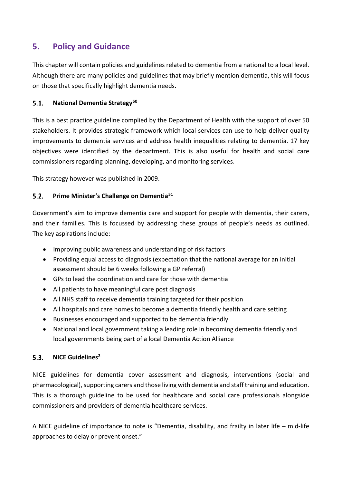# **5. Policy and Guidance**

This chapter will contain policies and guidelines related to dementia from a national to a local level. Although there are many policies and guidelines that may briefly mention dementia, this will focus on those that specifically highlight dementia needs.

#### $5.1.$ **National Dementia Strategy[50](#page-71-0)**

This is a best practice guideline complied by the Department of Health with the support of over 50 stakeholders. It provides strategic framework which local services can use to help deliver quality improvements to dementia services and address health inequalities relating to dementia. 17 key objectives were identified by the department. This is also useful for health and social care commissioners regarding planning, developing, and monitoring services.

This strategy however was published in 2009.

#### **Prime Minister's Challenge on Dementia[51](#page-71-1)**  $5.2.$

Government's aim to improve dementia care and support for people with dementia, their carers, and their families. This is focussed by addressing these groups of people's needs as outlined. The key aspirations include:

- Improving public awareness and understanding of risk factors
- Providing equal access to diagnosis (expectation that the national average for an initial assessment should be 6 weeks following a GP referral)
- GPs to lead the coordination and care for those with dementia
- All patients to have meaningful care post diagnosis
- All NHS staff to receive dementia training targeted for their position
- All hospitals and care homes to become a dementia friendly health and care setting
- Businesses encouraged and supported to be dementia friendly
- National and local government taking a leading role in becoming dementia friendly and local governments being part of a local Dementia Action Alliance

#### $5.3.$ **NICE Guideline[s2](#page-9-0)**

NICE guidelines for dementia cover assessment and diagnosis, interventions (social and pharmacological), supporting carers and those living with dementia and staff training and education. This is a thorough guideline to be used for healthcare and social care professionals alongside commissioners and providers of dementia healthcare services.

A NICE guideline of importance to note is "Dementia, disability, and frailty in later life – mid-life approaches to delay or prevent onset."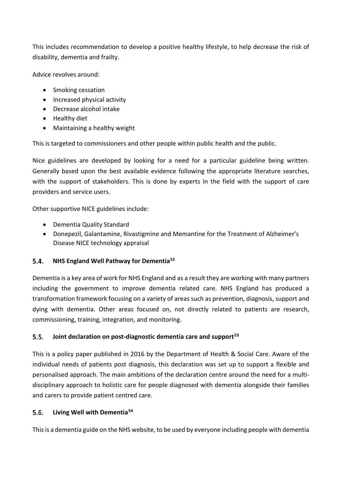This includes recommendation to develop a positive healthy lifestyle, to help decrease the risk of disability, dementia and frailty.

Advice revolves around:

- Smoking cessation
- Increased physical activity
- Decrease alcohol intake
- Healthy diet
- Maintaining a healthy weight

This is targeted to commissioners and other people within public health and the public.

Nice guidelines are developed by looking for a need for a particular guideline being written. Generally based upon the best available evidence following the appropriate literature searches, with the support of stakeholders. This is done by experts in the field with the support of care providers and service users.

Other supportive NICE guidelines include:

- Dementia Quality Standard
- Donepezil, Galantamine, Rivastigmine and Memantine for the Treatment of Alzheimer's Disease NICE technology appraisal

#### **NHS England Well Pathway for Dementia[52](#page-71-2)**  $5.4.$

Dementia is a key area of work for NHS England and as a result they are working with many partners including the government to improve dementia related care. NHS England has produced a transformation framework focusing on a variety of areas such as prevention, diagnosis, support and dying with dementia. Other areas focused on, not directly related to patients are research, commissioning, training, integration, and monitoring.

#### $5.5.$ **Joint declaration on post-diagnostic dementia care and support[53](#page-71-3)**

This is a policy paper published in 2016 by the Department of Health & Social Care. Aware of the individual needs of patients post diagnosis, this declaration was set up to support a flexible and personalised approach. The main ambitions of the declaration centre around the need for a multidisciplinary approach to holistic care for people diagnosed with dementia alongside their families and carers to provide patient centred care.

#### $5.6.$ **Living Well with Dementia[54](#page-71-4)**

This is a dementia guide on the NHS website, to be used by everyone including people with dementia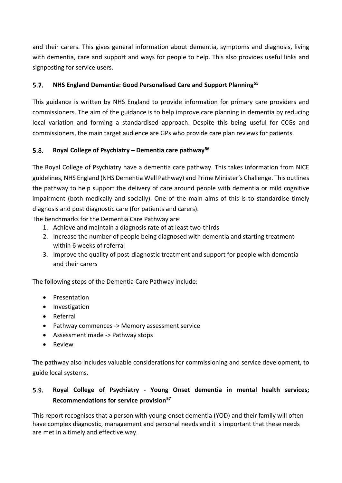and their carers. This gives general information about dementia, symptoms and diagnosis, living with dementia, care and support and ways for people to help. This also provides useful links and signposting for service users.

#### $5.7.$ **NHS England Dementia: Good Personalised Care and Support Planning[55](#page-71-5)**

This guidance is written by NHS England to provide information for primary care providers and commissioners. The aim of the guidance is to help improve care planning in dementia by reducing local variation and forming a standardised approach. Despite this being useful for CCGs and commissioners, the main target audience are GPs who provide care plan reviews for patients.

#### $5.8.$ **Royal College of Psychiatry – Dementia care pathway[56](#page-71-6)**

The Royal College of Psychiatry have a dementia care pathway. This takes information from NICE guidelines, NHS England (NHS Dementia Well Pathway) and Prime Minister's Challenge. This outlines the pathway to help support the delivery of care around people with dementia or mild cognitive impairment (both medically and socially). One of the main aims of this is to standardise timely diagnosis and post diagnostic care (for patients and carers).

The benchmarks for the Dementia Care Pathway are:

- 1. Achieve and maintain a diagnosis rate of at least two-thirds
- 2. Increase the number of people being diagnosed with dementia and starting treatment within 6 weeks of referral
- 3. Improve the quality of post-diagnostic treatment and support for people with dementia and their carers

The following steps of the Dementia Care Pathway include:

- Presentation
- Investigation
- Referral
- Pathway commences -> Memory assessment service
- Assessment made -> Pathway stops
- Review

The pathway also includes valuable considerations for commissioning and service development, to guide local systems.

### $5.9.$ **Royal College of Psychiatry - Young Onset dementia in mental health services; Recommendations for service provision[57](#page-71-7)**

This report recognises that a person with young-onset dementia (YOD) and their family will often have complex diagnostic, management and personal needs and it is important that these needs are met in a timely and effective way.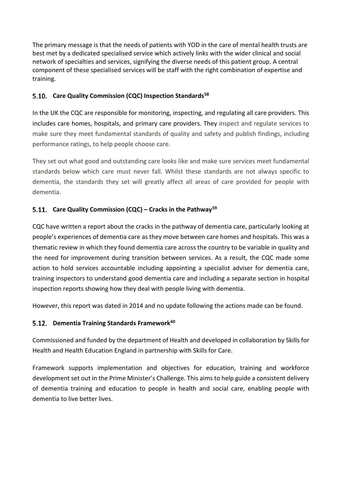The primary message is that the needs of patients with YOD in the care of mental health trusts are best met by a dedicated specialised service which actively links with the wider clinical and social network of specialties and services, signifying the diverse needs of this patient group. A central component of these specialised services will be staff with the right combination of expertise and training.

### **Care Quality Commission (CQC) Inspection Standards[58](#page-71-8)**

In the UK the CQC are responsible for monitoring, inspecting, and regulating all care providers. This includes care homes, hospitals, and primary care providers. They inspect and regulate services to make sure they meet fundamental standards of quality and safety and publish findings, including performance ratings, to help people choose care.

They set out what good and outstanding care looks like and make sure services meet fundamental standards below which care must never fall. Whilst these standards are not always specific to dementia, the standards they set will greatly affect all areas of care provided for people with dementia.

## **Care Quality Commission (CQC) – Cracks in the Pathway[59](#page-71-9)**

CQC have written a report about the cracks in the pathway of dementia care, particularly looking at people's experiences of dementia care as they move between care homes and hospitals. This was a thematic review in which they found dementia care across the country to be variable in quality and the need for improvement during transition between services. As a result, the CQC made some action to hold services accountable including appointing a specialist adviser for dementia care, training inspectors to understand good dementia care and including a separate section in hospital inspection reports showing how they deal with people living with dementia.

However, this report was dated in 2014 and no update following the actions made can be found.

### **Dementia Training Standards Framework[60](#page-71-10)**

Commissioned and funded by the department of Health and developed in collaboration by Skills for Health and Health Education England in partnership with Skills for Care.

Framework supports implementation and objectives for education, training and workforce development set out in the Prime Minister's Challenge. This aims to help guide a consistent delivery of dementia training and education to people in health and social care, enabling people with dementia to live better lives.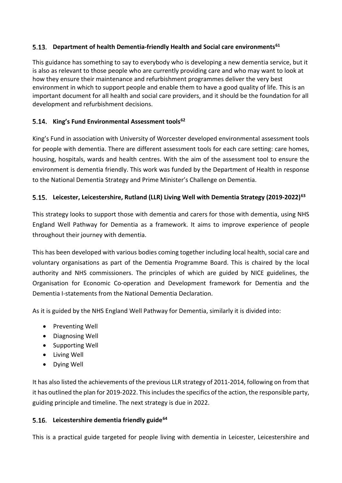### **Department of health Dementia-friendly Health and Social care environments[61](#page-71-11)**

This guidance has something to say to everybody who is developing a new dementia service, but it is also as relevant to those people who are currently providing care and who may want to look at how they ensure their maintenance and refurbishment programmes deliver the very best environment in which to support people and enable them to have a good quality of life. This is an important document for all health and social care providers, and it should be the foundation for all development and refurbishment decisions.

### **King's Fund Environmental Assessment tools[62](#page-71-12)**

King's Fund in association with University of Worcester developed environmental assessment tools for people with dementia. There are different assessment tools for each care setting: care homes, housing, hospitals, wards and health centres. With the aim of the assessment tool to ensure the environment is dementia friendly. This work was funded by the Department of Health in response to the National Dementia Strategy and Prime Minister's Challenge on Dementia.

### **Leicester, Leicestershire, Rutland (LLR) Living Well with Dementia Strategy (2019-2022)[63](#page-71-13)**

This strategy looks to support those with dementia and carers for those with dementia, using NHS England Well Pathway for Dementia as a framework. It aims to improve experience of people throughout their journey with dementia.

This has been developed with various bodies coming together including local health, social care and voluntary organisations as part of the Dementia Programme Board. This is chaired by the local authority and NHS commissioners. The principles of which are guided by NICE guidelines, the Organisation for Economic Co-operation and Development framework for Dementia and the Dementia I-statements from the National Dementia Declaration.

As it is guided by the NHS England Well Pathway for Dementia, similarly it is divided into:

- Preventing Well
- Diagnosing Well
- Supporting Well
- Living Well
- Dying Well

It has also listed the achievements of the previous LLR strategy of 2011-2014, following on from that it has outlined the plan for 2019-2022. This includes the specifics of the action, the responsible party, guiding principle and timeline. The next strategy is due in 2022.

### **Leicestershire dementia friendly guide[64](#page-72-0)**

This is a practical guide targeted for people living with dementia in Leicester, Leicestershire and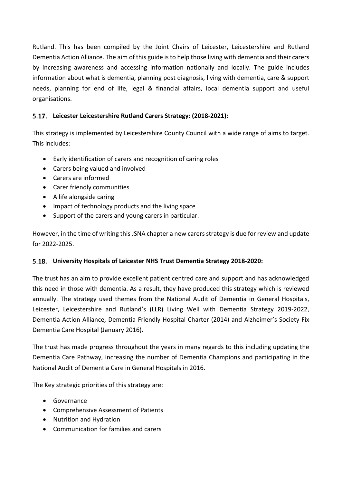Rutland. This has been compiled by the Joint Chairs of Leicester, Leicestershire and Rutland Dementia Action Alliance. The aim of this guide is to help those living with dementia and their carers by increasing awareness and accessing information nationally and locally. The guide includes information about what is dementia, planning post diagnosis, living with dementia, care & support needs, planning for end of life, legal & financial affairs, local dementia support and useful organisations.

### **Leicester Leicestershire Rutland Carers Strategy: (2018-2021):**

This strategy is implemented by Leicestershire County Council with a wide range of aims to target. This includes:

- Early identification of carers and recognition of caring roles
- Carers being valued and involved
- Carers are informed
- Carer friendly communities
- A life alongside caring
- Impact of technology products and the living space
- Support of the carers and young carers in particular.

However, in the time of writing this JSNA chapter a new carers strategy is due for review and update for 2022-2025.

### **University Hospitals of Leicester NHS Trust Dementia Strategy 2018-2020:**

The trust has an aim to provide excellent patient centred care and support and has acknowledged this need in those with dementia. As a result, they have produced this strategy which is reviewed annually. The strategy used themes from the National Audit of Dementia in General Hospitals, Leicester, Leicestershire and Rutland's (LLR) Living Well with Dementia Strategy 2019-2022, Dementia Action Alliance, Dementia Friendly Hospital Charter (2014) and Alzheimer's Society Fix Dementia Care Hospital (January 2016).

The trust has made progress throughout the years in many regards to this including updating the Dementia Care Pathway, increasing the number of Dementia Champions and participating in the National Audit of Dementia Care in General Hospitals in 2016.

The Key strategic priorities of this strategy are:

- Governance
- Comprehensive Assessment of Patients
- Nutrition and Hydration
- Communication for families and carers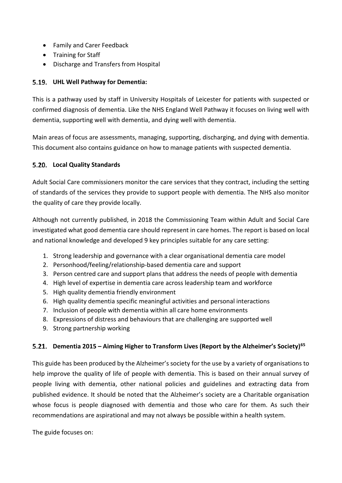- Family and Carer Feedback
- Training for Staff
- Discharge and Transfers from Hospital

### **UHL Well Pathway for Dementia:**

This is a pathway used by staff in University Hospitals of Leicester for patients with suspected or confirmed diagnosis of dementia. Like the NHS England Well Pathway it focuses on living well with dementia, supporting well with dementia, and dying well with dementia.

Main areas of focus are assessments, managing, supporting, discharging, and dying with dementia. This document also contains guidance on how to manage patients with suspected dementia.

### **Local Quality Standards**

Adult Social Care commissioners monitor the care services that they contract, including the setting of standards of the services they provide to support people with dementia. The NHS also monitor the quality of care they provide locally.

Although not currently published, in 2018 the Commissioning Team within Adult and Social Care investigated what good dementia care should represent in care homes. The report is based on local and national knowledge and developed 9 key principles suitable for any care setting:

- 1. Strong leadership and governance with a clear organisational dementia care model
- 2. Personhood/feeling/relationship-based dementia care and support
- 3. Person centred care and support plans that address the needs of people with dementia
- 4. High level of expertise in dementia care across leadership team and workforce
- 5. High quality dementia friendly environment
- 6. High quality dementia specific meaningful activities and personal interactions
- 7. Inclusion of people with dementia within all care home environments
- 8. Expressions of distress and behaviours that are challenging are supported well
- 9. Strong partnership working

## **Dementia 2015 – Aiming Higher to Transform Lives (Report by the Alzheimer's Society)[65](#page-72-1)**

This guide has been produced by the Alzheimer's society for the use by a variety of organisations to help improve the quality of life of people with dementia. This is based on their annual survey of people living with dementia, other national policies and guidelines and extracting data from published evidence. It should be noted that the Alzheimer's society are a Charitable organisation whose focus is people diagnosed with dementia and those who care for them. As such their recommendations are aspirational and may not always be possible within a health system.

The guide focuses on: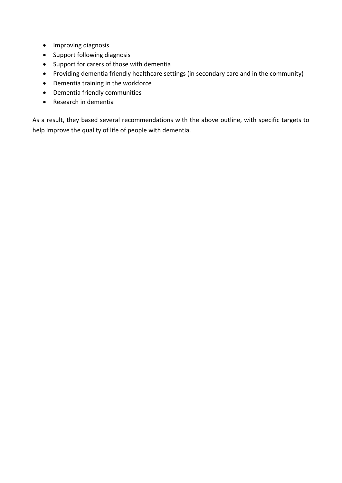- Improving diagnosis
- Support following diagnosis
- Support for carers of those with dementia
- Providing dementia friendly healthcare settings (in secondary care and in the community)
- Dementia training in the workforce
- Dementia friendly communities
- Research in dementia

As a result, they based several recommendations with the above outline, with specific targets to help improve the quality of life of people with dementia.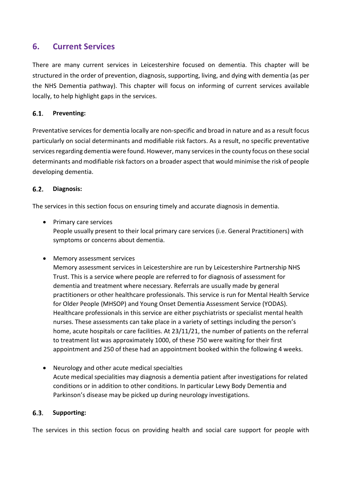## **6. Current Services**

There are many current services in Leicestershire focused on dementia. This chapter will be structured in the order of prevention, diagnosis, supporting, living, and dying with dementia (as per the NHS Dementia pathway). This chapter will focus on informing of current services available locally, to help highlight gaps in the services.

#### $6.1.$ **Preventing:**

Preventative services for dementia locally are non-specific and broad in nature and as a result focus particularly on social determinants and modifiable risk factors. As a result, no specific preventative services regarding dementia were found. However, many services in the county focus on these social determinants and modifiable risk factors on a broader aspect that would minimise the risk of people developing dementia.

#### $6.2.$ **Diagnosis:**

The services in this section focus on ensuring timely and accurate diagnosis in dementia.

- Primary care services People usually present to their local primary care services (i.e. General Practitioners) with symptoms or concerns about dementia.
- Memory assessment services

Memory assessment services in Leicestershire are run by Leicestershire Partnership NHS Trust. This is a service where people are referred to for diagnosis of assessment for dementia and treatment where necessary. Referrals are usually made by general practitioners or other healthcare professionals. This service is run for Mental Health Service for Older People (MHSOP) and Young Onset Dementia Assessment Service (YODAS). Healthcare professionals in this service are either psychiatrists or specialist mental health nurses. These assessments can take place in a variety of settings including the person's home, acute hospitals or care facilities. At 23/11/21, the number of patients on the referral to treatment list was approximately 1000, of these 750 were waiting for their first appointment and 250 of these had an appointment booked within the following 4 weeks.

• Neurology and other acute medical specialties Acute medical specialities may diagnosis a dementia patient after investigations for related conditions or in addition to other conditions. In particular Lewy Body Dementia and Parkinson's disease may be picked up during neurology investigations.

#### $6.3.$ **Supporting:**

The services in this section focus on providing health and social care support for people with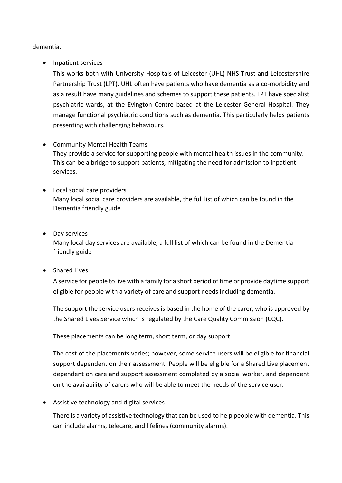dementia.

• Inpatient services

This works both with University Hospitals of Leicester (UHL) NHS Trust and Leicestershire Partnership Trust (LPT). UHL often have patients who have dementia as a co-morbidity and as a result have many guidelines and schemes to support these patients. LPT have specialist psychiatric wards, at the Evington Centre based at the Leicester General Hospital. They manage functional psychiatric conditions such as dementia. This particularly helps patients presenting with challenging behaviours.

- Community Mental Health Teams They provide a service for supporting people with mental health issues in the community. This can be a bridge to support patients, mitigating the need for admission to inpatient services.
- Local social care providers Many local social care providers are available, the full list of which can be found in the Dementia friendly guide
- Day services Many local day services are available, a full list of which can be found in the Dementia friendly guide
- Shared Lives

A service for people to live with a family for a short period of time or provide daytime support eligible for people with a variety of care and support needs including dementia.

The support the service users receives is based in the home of the carer, who is approved by the Shared Lives Service which is regulated by the Care Quality Commission (CQC).

These placements can be long term, short term, or day support.

The cost of the placements varies; however, some service users will be eligible for financial support dependent on their assessment. People will be eligible for a Shared Live placement dependent on care and support assessment completed by a social worker, and dependent on the availability of carers who will be able to meet the needs of the service user.

• Assistive technology and digital services

There is a variety of assistive technology that can be used to help people with dementia. This can include alarms, telecare, and lifelines (community alarms).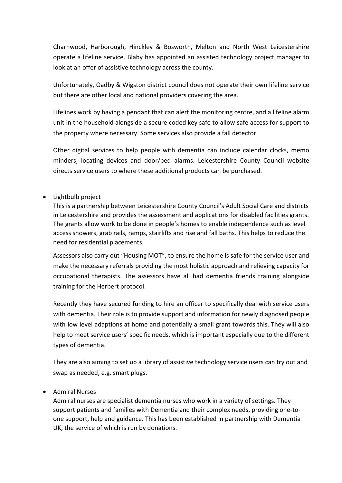Charnwood, Harborough, Hinckley & Bosworth, Melton and North West Leicestershire operate a lifeline service. Blaby has appointed an assisted technology project manager to look at an offer of assistive technology across the county.

Unfortunately, Oadby & Wigston district council does not operate their own lifeline service but there are other local and national providers covering the area.

Lifelines work by having a pendant that can alert the monitoring centre, and a lifeline alarm unit in the household alongside a secure coded key safe to allow safe access for support to the property where necessary. Some services also provide a fall detector.

Other digital services to help people with dementia can include calendar clocks, memo minders, locating devices and door/bed alarms. Leicestershire County Council website directs service users to where these additional products can be purchased.

### • Lightbulb project

This is a partnership between Leicestershire County Council's Adult Social Care and districts in Leicestershire and provides the assessment and applications for disabled facilities grants. The grants allow work to be done in people's homes to enable independence such as level access showers, grab rails, ramps, stairlifts and rise and fall baths. This helps to reduce the need for residential placements.

Assessors also carry out "Housing MOT", to ensure the home is safe for the service user and make the necessary referrals providing the most holistic approach and relieving capacity for occupational therapists. The assessors have all had dementia friends training alongside training for the Herbert protocol.

Recently they have secured funding to hire an officer to specifically deal with service users with dementia. Their role is to provide support and information for newly diagnosed people with low level adaptions at home and potentially a small grant towards this. They will also help to meet service users' specific needs, which is important especially due to the different types of dementia.

They are also aiming to set up a library of assistive technology service users can try out and swap as needed, e.g. smart plugs.

### • Admiral Nurses

Admiral nurses are specialist dementia nurses who work in a variety of settings. They support patients and families with Dementia and their complex needs, providing one-toone support, help and guidance. This has been established in partnership with Dementia UK, the service of which is run by donations.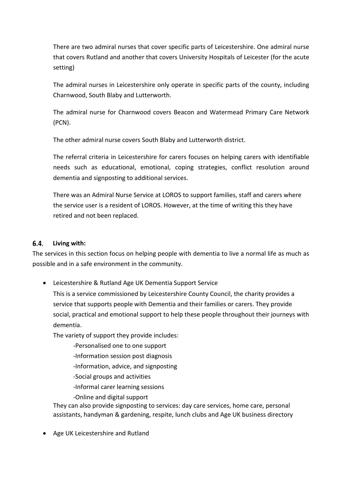There are two admiral nurses that cover specific parts of Leicestershire. One admiral nurse that covers Rutland and another that covers University Hospitals of Leicester (for the acute setting)

The admiral nurses in Leicestershire only operate in specific parts of the county, including Charnwood, South Blaby and Lutterworth.

The admiral nurse for Charnwood covers Beacon and Watermead Primary Care Network (PCN).

The other admiral nurse covers South Blaby and Lutterworth district.

The referral criteria in Leicestershire for carers focuses on helping carers with identifiable needs such as educational, emotional, coping strategies, conflict resolution around dementia and signposting to additional services.

There was an Admiral Nurse Service at LOROS to support families, staff and carers where the service user is a resident of LOROS. However, at the time of writing this they have retired and not been replaced.

#### $6.4.$ **Living with:**

The services in this section focus on helping people with dementia to live a normal life as much as possible and in a safe environment in the community.

• Leicestershire & Rutland Age UK Dementia Support Service

This is a service commissioned by Leicestershire County Council, the charity provides a service that supports people with Dementia and their families or carers. They provide social, practical and emotional support to help these people throughout their journeys with dementia.

The variety of support they provide includes:

- -Personalised one to one support
- -Information session post diagnosis
- -Information, advice, and signposting
- -Social groups and activities
- -Informal carer learning sessions
- -Online and digital support

They can also provide signposting to services: day care services, home care, personal assistants, handyman & gardening, respite, lunch clubs and Age UK business directory

• Age UK Leicestershire and Rutland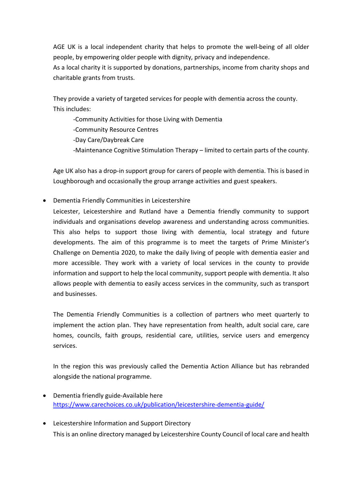AGE UK is a local independent charity that helps to promote the well-being of all older people, by empowering older people with dignity, privacy and independence.

As a local charity it is supported by donations, partnerships, income from charity shops and charitable grants from trusts.

They provide a variety of targeted services for people with dementia across the county. This includes:

-Community Activities for those Living with Dementia

-Community Resource Centres

-Day Care/Daybreak Care

-Maintenance Cognitive Stimulation Therapy – limited to certain parts of the county.

Age UK also has a drop-in support group for carers of people with dementia. This is based in Loughborough and occasionally the group arrange activities and guest speakers.

• Dementia Friendly Communities in Leicestershire

Leicester, Leicestershire and Rutland have a Dementia friendly community to support individuals and organisations develop awareness and understanding across communities. This also helps to support those living with dementia, local strategy and future developments. The aim of this programme is to meet the targets of Prime Minister's Challenge on Dementia 2020, to make the daily living of people with dementia easier and more accessible. They work with a variety of local services in the county to provide information and support to help the local community, support people with dementia. It also allows people with dementia to easily access services in the community, such as transport and businesses.

The Dementia Friendly Communities is a collection of partners who meet quarterly to implement the action plan. They have representation from health, adult social care, care homes, councils, faith groups, residential care, utilities, service users and emergency services.

In the region this was previously called the Dementia Action Alliance but has rebranded alongside the national programme.

- Dementia friendly guide-Available here <https://www.carechoices.co.uk/publication/leicestershire-dementia-guide/>
- Leicestershire Information and Support Directory This is an online directory managed by Leicestershire County Council of local care and health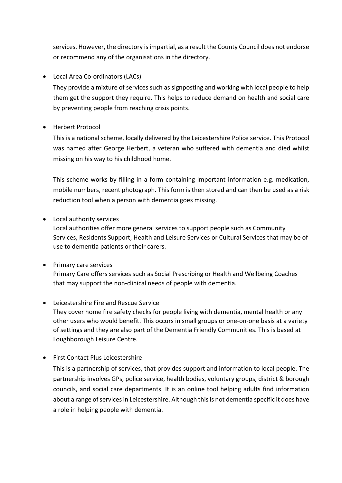services. However, the directory is impartial, as a result the County Council does not endorse or recommend any of the organisations in the directory.

### • Local Area Co-ordinators (LACs)

They provide a mixture of services such as signposting and working with local people to help them get the support they require. This helps to reduce demand on health and social care by preventing people from reaching crisis points.

• Herbert Protocol

This is a national scheme, locally delivered by the Leicestershire Police service. This Protocol was named after George Herbert, a veteran who suffered with dementia and died whilst missing on his way to his childhood home.

This scheme works by filling in a form containing important information e.g. medication, mobile numbers, recent photograph. This form is then stored and can then be used as a risk reduction tool when a person with dementia goes missing.

### • Local authority services

Local authorities offer more general services to support people such as Community Services, Residents Support, Health and Leisure Services or Cultural Services that may be of use to dementia patients or their carers.

• Primary care services Primary Care offers services such as Social Prescribing or Health and Wellbeing Coaches that may support the non-clinical needs of people with dementia.

### • Leicestershire Fire and Rescue Service

They cover home fire safety checks for people living with dementia, mental health or any other users who would benefit. This occurs in small groups or one-on-one basis at a variety of settings and they are also part of the Dementia Friendly Communities. This is based at Loughborough Leisure Centre.

• First Contact Plus Leicestershire

This is a partnership of services, that provides support and information to local people. The partnership involves GPs, police service, health bodies, voluntary groups, district & borough councils, and social care departments. It is an online tool helping adults find information about a range of services in Leicestershire. Although this is not dementia specific it does have a role in helping people with dementia.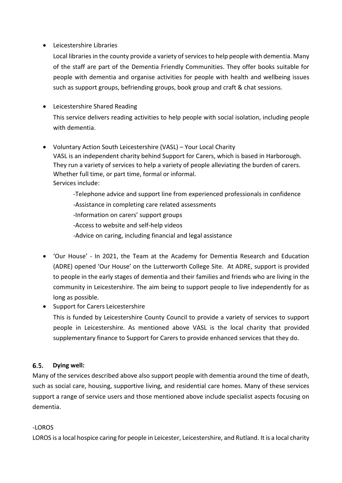### • Leicestershire Libraries

Local libraries in the county provide a variety of services to help people with dementia. Many of the staff are part of the Dementia Friendly Communities. They offer books suitable for people with dementia and organise activities for people with health and wellbeing issues such as support groups, befriending groups, book group and craft & chat sessions.

### • Leicestershire Shared Reading

This service delivers reading activities to help people with social isolation, including people with dementia.

• Voluntary Action South Leicestershire (VASL) – Your Local Charity VASL is an independent charity behind Support for Carers, which is based in Harborough. They run a variety of services to help a variety of people alleviating the burden of carers. Whether full time, or part time, formal or informal. Services include:

> -Telephone advice and support line from experienced professionals in confidence -Assistance in completing care related assessments

-Information on carers' support groups

-Access to website and self-help videos

-Advice on caring, including financial and legal assistance

- 'Our House' In 2021, the Team at the Academy for Dementia Research and Education (ADRE) opened 'Our House' on the Lutterworth College Site. At ADRE, support is provided to people in the early stages of dementia and their families and friends who are living in the community in Leicestershire. The aim being to support people to live independently for as long as possible.
- Support for Carers Leicestershire This is funded by Leicestershire County Council to provide a variety of services to support people in Leicestershire. As mentioned above VASL is the local charity that provided supplementary finance to Support for Carers to provide enhanced services that they do.

#### $6.5.$ **Dying well:**

Many of the services described above also support people with dementia around the time of death, such as social care, housing, supportive living, and residential care homes. Many of these services support a range of service users and those mentioned above include specialist aspects focusing on dementia.

### -LOROS

LOROS is a local hospice caring for people in Leicester, Leicestershire, and Rutland. It is a local charity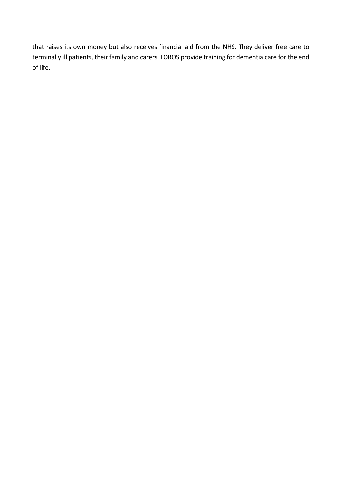that raises its own money but also receives financial aid from the NHS. They deliver free care to terminally ill patients, their family and carers. LOROS provide training for dementia care for the end of life.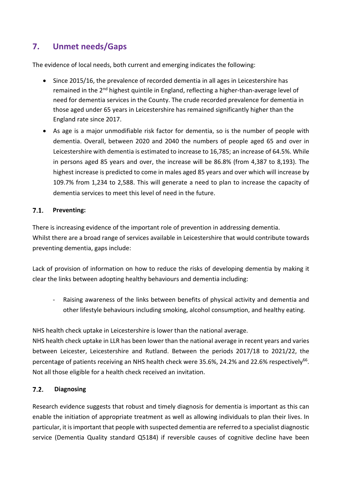# **7. Unmet needs/Gaps**

The evidence of local needs, both current and emerging indicates the following:

- Since 2015/16, the prevalence of recorded dementia in all ages in Leicestershire has remained in the  $2^{nd}$  highest quintile in England, reflecting a higher-than-average level of need for dementia services in the County. The crude recorded prevalence for dementia in those aged under 65 years in Leicestershire has remained significantly higher than the England rate since 2017.
- As age is a major unmodifiable risk factor for dementia, so is the number of people with dementia. Overall, between 2020 and 2040 the numbers of people aged 65 and over in Leicestershire with dementia is estimated to increase to 16,785; an increase of 64.5%. While in persons aged 85 years and over, the increase will be 86.8% (from 4,387 to 8,193). The highest increase is predicted to come in males aged 85 years and over which will increase by 109.7% from 1,234 to 2,588. This will generate a need to plan to increase the capacity of dementia services to meet this level of need in the future.

#### $7.1.$ **Preventing:**

There is increasing evidence of the important role of prevention in addressing dementia. Whilst there are a broad range of services available in Leicestershire that would contribute towards preventing dementia, gaps include:

Lack of provision of information on how to reduce the risks of developing dementia by making it clear the links between adopting healthy behaviours and dementia including:

- Raising awareness of the links between benefits of physical activity and dementia and other lifestyle behaviours including smoking, alcohol consumption, and healthy eating.

NHS health check uptake in Leicestershire is lower than the national average.

NHS health check uptake in LLR has been lower than the national average in recent years and varies between Leicester, Leicestershire and Rutland. Between the periods 2017/18 to 2021/22, the percentage of patients receiving an NHS health check were 35.6%, 24.2% and 22.6% respectively<sup>66</sup>. Not all those eligible for a health check received an invitation.

#### $7.2.$ **Diagnosing**

Research evidence suggests that robust and timely diagnosis for dementia is important as this can enable the initiation of appropriate treatment as well as allowing individuals to plan their lives. In particular, it is important that people with suspected dementia are referred to a specialist diagnostic service (Dementia Quality standard Q5184) if reversible causes of cognitive decline have been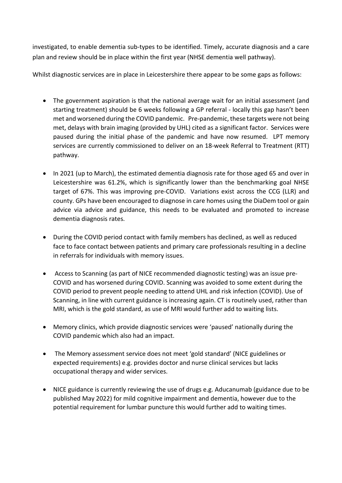investigated, to enable dementia sub-types to be identified. Timely, accurate diagnosis and a care plan and review should be in place within the first year (NHSE dementia well pathway).

Whilst diagnostic services are in place in Leicestershire there appear to be some gaps as follows:

- The government aspiration is that the national average wait for an initial assessment (and starting treatment) should be 6 weeks following a GP referral - locally this gap hasn't been met and worsened during the COVID pandemic. Pre-pandemic, these targets were not being met, delays with brain imaging (provided by UHL) cited as a significant factor. Services were paused during the initial phase of the pandemic and have now resumed. LPT memory services are currently commissioned to deliver on an 18-week Referral to Treatment (RTT) pathway.
- In 2021 (up to March), the estimated dementia diagnosis rate for those aged 65 and over in Leicestershire was 61.2%, which is significantly lower than the benchmarking goal NHSE target of 67%. This was improving pre-COVID. Variations exist across the CCG (LLR) and county. GPs have been encouraged to diagnose in care homes using the DiaDem tool or gain advice via advice and guidance, this needs to be evaluated and promoted to increase dementia diagnosis rates.
- During the COVID period contact with family members has declined, as well as reduced face to face contact between patients and primary care professionals resulting in a decline in referrals for individuals with memory issues.
- Access to Scanning (as part of NICE recommended diagnostic testing) was an issue pre-COVID and has worsened during COVID. Scanning was avoided to some extent during the COVID period to prevent people needing to attend UHL and risk infection (COVID). Use of Scanning, in line with current guidance is increasing again. CT is routinely used, rather than MRI, which is the gold standard, as use of MRI would further add to waiting lists.
- Memory clinics, which provide diagnostic services were 'paused' nationally during the COVID pandemic which also had an impact.
- The Memory assessment service does not meet 'gold standard' (NICE guidelines or expected requirements) e.g. provides doctor and nurse clinical services but lacks occupational therapy and wider services.
- NICE guidance is currently reviewing the use of drugs e.g. Aducanumab (guidance due to be published May 2022) for mild cognitive impairment and dementia, however due to the potential requirement for lumbar puncture this would further add to waiting times.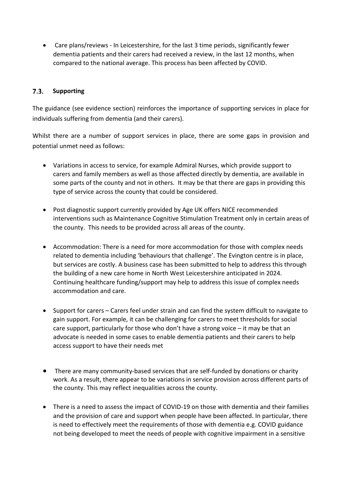• Care plans/reviews - In Leicestershire, for the last 3 time periods, significantly fewer dementia patients and their carers had received a review, in the last 12 months, when compared to the national average. This process has been affected by COVID.

#### $7.3.$ **Supporting**

The guidance (see evidence section) reinforces the importance of supporting services in place for individuals suffering from dementia (and their carers).

Whilst there are a number of support services in place, there are some gaps in provision and potential unmet need as follows:

- Variations in access to service, for example Admiral Nurses, which provide support to carers and family members as well as those affected directly by dementia, are available in some parts of the county and not in others. It may be that there are gaps in providing this type of service across the county that could be considered.
- Post diagnostic support currently provided by Age UK offers NICE recommended interventions such as Maintenance Cognitive Stimulation Treatment only in certain areas of the county. This needs to be provided across all areas of the county.
- Accommodation: There is a need for more accommodation for those with complex needs related to dementia including 'behaviours that challenge'. The Evington centre is in place, but services are costly. A business case has been submitted to help to address this through the building of a new care home in North West Leicestershire anticipated in 2024. Continuing healthcare funding/support may help to address this issue of complex needs accommodation and care.
- Support for carers Carers feel under strain and can find the system difficult to navigate to gain support. For example, it can be challenging for carers to meet thresholds for social care support, particularly for those who don't have a strong voice – it may be that an advocate is needed in some cases to enable dementia patients and their carers to help access support to have their needs met
- There are many community-based services that are self-funded by donations or charity work. As a result, there appear to be variations in service provision across different parts of the county. This may reflect inequalities across the county.
- There is a need to assess the impact of COVID-19 on those with dementia and their families and the provision of care and support when people have been affected. In particular, there is need to effectively meet the requirements of those with dementia e.g. COVID guidance not being developed to meet the needs of people with cognitive impairment in a sensitive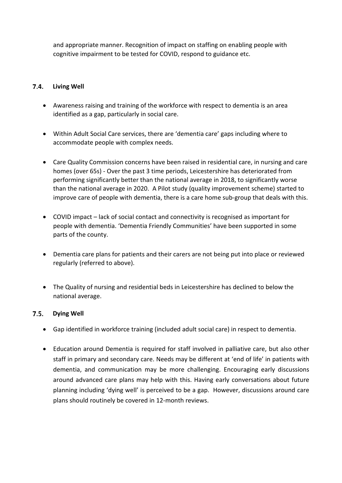and appropriate manner. Recognition of impact on staffing on enabling people with cognitive impairment to be tested for COVID, respond to guidance etc.

#### $7.4.$ **Living Well**

- Awareness raising and training of the workforce with respect to dementia is an area identified as a gap, particularly in social care.
- Within Adult Social Care services, there are 'dementia care' gaps including where to accommodate people with complex needs.
- Care Quality Commission concerns have been raised in residential care, in nursing and care homes (over 65s) - Over the past 3 time periods, Leicestershire has deteriorated from performing significantly better than the national average in 2018, to significantly worse than the national average in 2020. A Pilot study (quality improvement scheme) started to improve care of people with dementia, there is a care home sub-group that deals with this.
- COVID impact lack of social contact and connectivity is recognised as important for people with dementia. 'Dementia Friendly Communities' have been supported in some parts of the county.
- Dementia care plans for patients and their carers are not being put into place or reviewed regularly (referred to above).
- The Quality of nursing and residential beds in Leicestershire has declined to below the national average.

#### $7.5.$ **Dying Well**

- Gap identified in workforce training (included adult social care) in respect to dementia.
- Education around Dementia is required for staff involved in palliative care, but also other staff in primary and secondary care. Needs may be different at 'end of life' in patients with dementia, and communication may be more challenging. Encouraging early discussions around advanced care plans may help with this. Having early conversations about future planning including 'dying well' is perceived to be a gap. However, discussions around care plans should routinely be covered in 12-month reviews.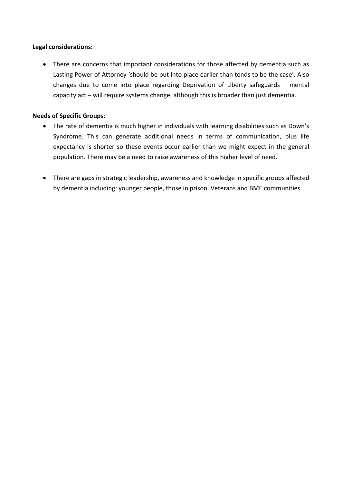### **Legal considerations:**

• There are concerns that important considerations for those affected by dementia such as Lasting Power of Attorney 'should be put into place earlier than tends to be the case'. Also changes due to come into place regarding Deprivation of Liberty safeguards – mental capacity act – will require systems change, although this is broader than just dementia.

### **Needs of Specific Groups**:

- The rate of dementia is much higher in individuals with learning disabilities such as Down's Syndrome. This can generate additional needs in terms of communication, plus life expectancy is shorter so these events occur earlier than we might expect in the general population. There may be a need to raise awareness of this higher level of need.
- There are gaps in strategic leadership, awareness and knowledge in specific groups affected by dementia including: younger people, those in prison, Veterans and BME communities.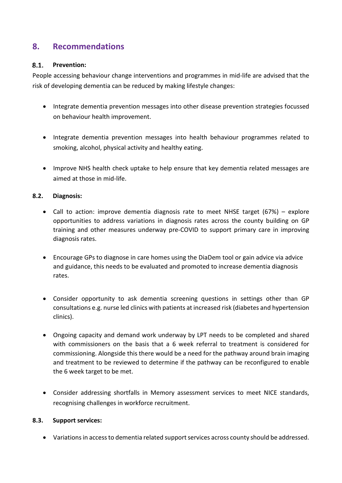## **8. Recommendations**

#### $8.1.$ **Prevention:**

People accessing behaviour change interventions and programmes in mid-life are advised that the risk of developing dementia can be reduced by making lifestyle changes:

- Integrate dementia prevention messages into other disease prevention strategies focussed on behaviour health improvement.
- Integrate dementia prevention messages into health behaviour programmes related to smoking, alcohol, physical activity and healthy eating.
- Improve NHS health check uptake to help ensure that key dementia related messages are aimed at those in mid-life.

### **8.2. Diagnosis:**

- Call to action: improve dementia diagnosis rate to meet NHSE target (67%) explore opportunities to address variations in diagnosis rates across the county building on GP training and other measures underway pre-COVID to support primary care in improving diagnosis rates.
- Encourage GPs to diagnose in care homes using the DiaDem tool or gain advice via advice and guidance, this needs to be evaluated and promoted to increase dementia diagnosis rates.
- Consider opportunity to ask dementia screening questions in settings other than GP consultations e.g. nurse led clinics with patients at increased risk (diabetes and hypertension clinics).
- Ongoing capacity and demand work underway by LPT needs to be completed and shared with commissioners on the basis that a 6 week referral to treatment is considered for commissioning. Alongside this there would be a need for the pathway around brain imaging and treatment to be reviewed to determine if the pathway can be reconfigured to enable the 6 week target to be met.
- Consider addressing shortfalls in Memory assessment services to meet NICE standards, recognising challenges in workforce recruitment.

### **8.3. Support services:**

• Variations in access to dementia related support services across county should be addressed.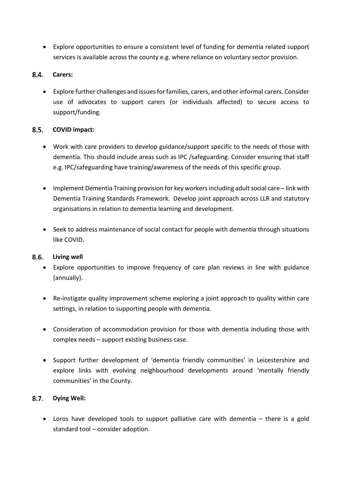• Explore opportunities to ensure a consistent level of funding for dementia related support services is available across the county e.g. where reliance on voluntary sector provision.

#### 8.4. **Carers:**

• Explore further challenges and issues for families, carers, and other informal carers. Consider use of advocates to support carers (or individuals affected) to secure access to support/funding.

#### $8.5.$ **COVID impact:**

- Work with care providers to develop guidance/support specific to the needs of those with dementia. This should include areas such as IPC /safeguarding. Consider ensuring that staff e.g. IPC/safeguarding have training/awareness of the needs of this specific group.
- Implement Dementia Training provision for key workers including adult social care link with Dementia Training Standards Framework. Develop joint approach across LLR and statutory organisations in relation to dementia learning and development.
- Seek to address maintenance of social contact for people with dementia through situations like COVID.

#### $8.6.$ **Living well**

- Explore opportunities to improve frequency of care plan reviews in line with guidance (annually).
- Re-instigate quality improvement scheme exploring a joint approach to quality within care settings, in relation to supporting people with dementia.
- Consideration of accommodation provision for those with dementia including those with complex needs – support existing business case.
- Support further development of 'dementia friendly communities' in Leicestershire and explore links with evolving neighbourhood developments around 'mentally friendly communities' in the County.

#### $8.7.$ **Dying Well:**

• Loros have developed tools to support palliative care with dementia – there is a gold standard tool – consider adoption.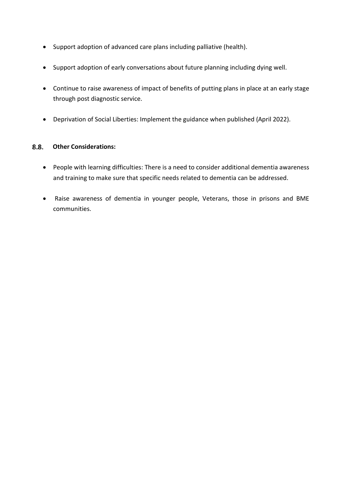- Support adoption of advanced care plans including palliative (health).
- Support adoption of early conversations about future planning including dying well.
- Continue to raise awareness of impact of benefits of putting plans in place at an early stage through post diagnostic service.
- Deprivation of Social Liberties: Implement the guidance when published (April 2022).

#### $8.8.$ **Other Considerations:**

- People with learning difficulties: There is a need to consider additional dementia awareness and training to make sure that specific needs related to dementia can be addressed.
- Raise awareness of dementia in younger people, Veterans, those in prisons and BME communities.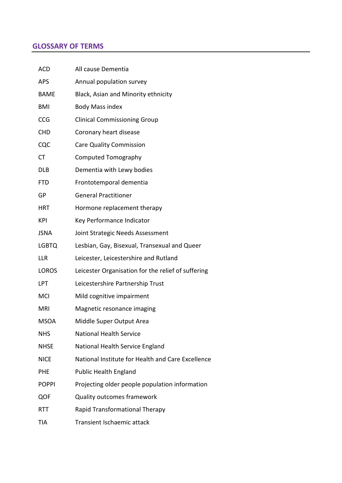## **GLOSSARY OF TERMS**

| ACD          | All cause Dementia                                 |
|--------------|----------------------------------------------------|
| <b>APS</b>   | Annual population survey                           |
| <b>BAME</b>  | Black, Asian and Minority ethnicity                |
| <b>BMI</b>   | <b>Body Mass index</b>                             |
| CCG          | <b>Clinical Commissioning Group</b>                |
| <b>CHD</b>   | Coronary heart disease                             |
| CQC          | <b>Care Quality Commission</b>                     |
| <b>CT</b>    | <b>Computed Tomography</b>                         |
| <b>DLB</b>   | Dementia with Lewy bodies                          |
| <b>FTD</b>   | Frontotemporal dementia                            |
| GP           | <b>General Practitioner</b>                        |
| HRT          | Hormone replacement therapy                        |
| KPI          | Key Performance Indicator                          |
| <b>JSNA</b>  | Joint Strategic Needs Assessment                   |
| <b>LGBTQ</b> | Lesbian, Gay, Bisexual, Transexual and Queer       |
| <b>LLR</b>   | Leicester, Leicestershire and Rutland              |
| <b>LOROS</b> | Leicester Organisation for the relief of suffering |
| LPT          | Leicestershire Partnership Trust                   |
| <b>MCI</b>   | Mild cognitive impairment                          |
| <b>MRI</b>   | Magnetic resonance imaging                         |
| <b>MSOA</b>  | Middle Super Output Area                           |
| <b>NHS</b>   | <b>National Health Service</b>                     |
| <b>NHSE</b>  | National Health Service England                    |
| <b>NICE</b>  | National Institute for Health and Care Excellence  |
| <b>PHE</b>   | <b>Public Health England</b>                       |
| <b>POPPI</b> | Projecting older people population information     |
| QOF          | <b>Quality outcomes framework</b>                  |
| <b>RTT</b>   | Rapid Transformational Therapy                     |
| <b>TIA</b>   | Transient Ischaemic attack                         |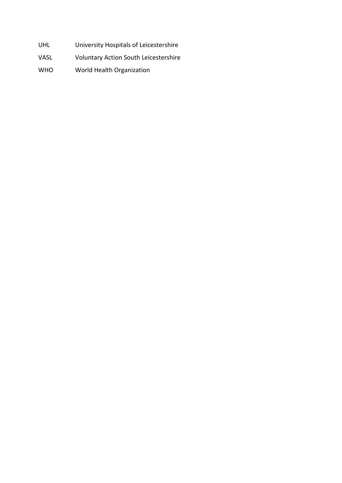- UHL University Hospitals of Leicestershire
- VASL Voluntary Action South Leicestershire
- WHO World Health Organization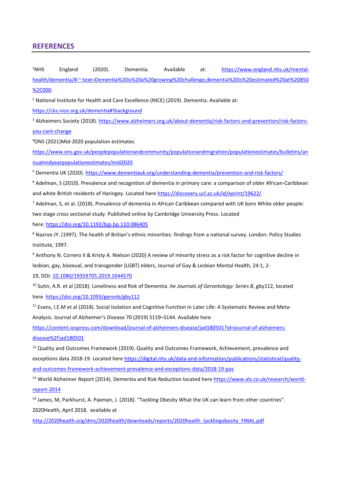### **REFERENCES**

 $1$ <sub>NHS</sub> England (2020). Dementia. Available at: [https://www.england.nhs.uk/mental](https://www.england.nhs.uk/mental-health/dementia/#:%7E:text=Dementia%20is%20a%20growing%20challenge,dementia%20is%20estimated%20at%20850%2C000)[health/dementia/#:~:text=Dementia%20is%20a%20growing%20challenge,dementia%20is%20estimated%20at%20850](https://www.england.nhs.uk/mental-health/dementia/#:%7E:text=Dementia%20is%20a%20growing%20challenge,dementia%20is%20estimated%20at%20850%2C000) [%2C000.](https://www.england.nhs.uk/mental-health/dementia/#:%7E:text=Dementia%20is%20a%20growing%20challenge,dementia%20is%20estimated%20at%20850%2C000)

<sup>2</sup> National Institute for Health and Care Excellence (NICE) (2019). Dementia. Available at:

<https://cks.nice.org.uk/dementia#!background>

<sup>3</sup> Alzheimers Society (2018). [https://www.alzheimers.org.uk/about-dementia/risk-factors-and-prevention/risk-factors](https://www.alzheimers.org.uk/about-dementia/risk-factors-and-prevention/risk-factors-you-cant-change)[you-cant-change](https://www.alzheimers.org.uk/about-dementia/risk-factors-and-prevention/risk-factors-you-cant-change)

4 ONS (2021)Mid-2020 population estimates.

[https://www.ons.gov.uk/peoplepopulationandcommunity/populationandmigration/populationestimates/bulletins/an](https://www.ons.gov.uk/peoplepopulationandcommunity/populationandmigration/populationestimates/bulletins/annualmidyearpopulationestimates/mid2020) [nualmidyearpopulationestimates/mid2020](https://www.ons.gov.uk/peoplepopulationandcommunity/populationandmigration/populationestimates/bulletins/annualmidyearpopulationestimates/mid2020)

<sup>5</sup> Dementia UK (2020).<https://www.dementiauk.org/understanding-dementia/prevention-and-risk-factors/>

<sup>6</sup> Adelman, S (2010). Prevalence and recognition of dementia in primary care: a comparison of older African-Caribbean and white British residents of Haringey. Located her[e https://discovery.ucl.ac.uk/id/eprint/19622/](https://discovery.ucl.ac.uk/id/eprint/19622/)

<sup>7</sup> Adelman, S, et al. (2018). Prevalence of dementia in African Caribbean compared with UK born White older people: two stage cross sectional study. Published online by Cambridge University Press. Located

here: <https://doi.org/10.1192/bjp.bp.110.086405>

8 Nazroo JY. (1997). The health of Britian's ethnic minorities: findings from a national survey. London: Policy Studies Institute, 1997.

<sup>9</sup> Anthony N. Correro II & Kristy A. Nielson (2020) A review of minority stress as a risk factor for cognitive decline in lesbian, gay, bisexual, and transgender (LGBT) elders, Journal of Gay & Lesbian Mental Health, 24:1, 2-

19, DOI: [10.1080/19359705.2019.1644570](https://doi.org/10.1080/19359705.2019.1644570)

<sup>10</sup> Sutin, A.R. et al (2018). Loneliness and Risk of Dementia. *he Journals of Gerontology: Series B*, gby112, located here <https://doi.org/10.1093/geronb/gby112>

<sup>11</sup> Evans, I.E.M et al (2018). Social Isolation and Cognitive Function in Later Life: A Systematic Review and Meta-Analysis. Journal of Alzheimer's Disease 70 (2019) S119–S144. Available here

[https://content.iospress.com/download/journal-of-alzheimers-disease/jad180501?id=journal-of-alzheimers](https://content.iospress.com/download/journal-of-alzheimers-disease/jad180501?id=journal-of-alzheimers-disease%2Fjad180501)[disease%2Fjad180501](https://content.iospress.com/download/journal-of-alzheimers-disease/jad180501?id=journal-of-alzheimers-disease%2Fjad180501)

 $12$  Quality and Outcomes Framework (2019). Quality and Outcomes Framework, Achievement, prevalence and exceptions data 2018-19. Located here [https://digital.nhs.uk/data-and-information/publications/statistical/quality](https://digital.nhs.uk/data-and-information/publications/statistical/quality-and-outcomes-framework-achievement-prevalence-and-exceptions-data/2018-19-pas)[and-outcomes-framework-achievement-prevalence-and-exceptions-data/2018-19-pas](https://digital.nhs.uk/data-and-information/publications/statistical/quality-and-outcomes-framework-achievement-prevalence-and-exceptions-data/2018-19-pas)

<sup>13</sup> World Alzheimer Report (2014). Dementia and Risk Reduction located her[e https://www.alz.co.uk/research/world](https://www.alz.co.uk/research/world-report-2014)[report-2014](https://www.alz.co.uk/research/world-report-2014)

<sup>14</sup> James, M, Parkhurst, A. Paxman, J. (2018). "Tackling Obesity What the UK can learn from other countries". 2020Health, April 2018, available at

[http://2020health.org/dms/2020health/downloads/reports/2020health\\_tacklingobesity\\_FINAL.pdf](http://2020health.org/dms/2020health/downloads/reports/2020health_tacklingobesity_FINAL.pdf)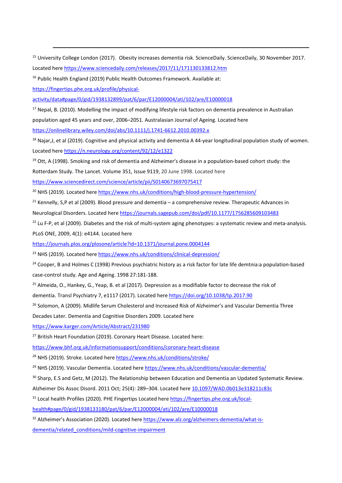<sup>15</sup> University College London (2017). Obesity increases dementia risk. ScienceDaily. ScienceDaily, 30 November 2017. Located here<https://www.sciencedaily.com/releases/2017/11/171130133812.htm>

<sup>16</sup> Public Health England (2019) Public Health Outcomes Framework. Available at:

[https://fingertips.phe.org.uk/profile/physical-](https://fingertips.phe.org.uk/profile/physical-activity/data#page/0/gid/1938132899/pat/6/par/E12000004/ati/102/are/E10000018)

[activity/data#page/0/gid/1938132899/pat/6/par/E12000004/ati/102/are/E10000018](https://fingertips.phe.org.uk/profile/physical-activity/data#page/0/gid/1938132899/pat/6/par/E12000004/ati/102/are/E10000018)

<sup>17</sup> Nepal, B. (2010). Modelling the impact of modifying lifestyle risk factors on dementia prevalence in Australian

population aged 45 years and over, 2006–2051. Australasian Journal of Ageing. Located here

<https://onlinelibrary.wiley.com/doi/abs/10.1111/j.1741-6612.2010.00392.x>

 $18$  Najar, J, et al (2019). Cognitive and physical activity and dementia A 44-year longitudinal population study of women. Located here<https://n.neurology.org/content/92/12/e1322>

 $19$  Ott, A (1998). Smoking and risk of dementia and Alzheimer's disease in a population-based cohort study: the

Rotterdam Study. The Lancet. Volume 351, Issue 9119, 20 June 1998. Located here

<https://www.sciencedirect.com/science/article/pii/S0140673697075417>

<sup>20</sup> NHS (2019). Located her[e https://www.nhs.uk/conditions/high-blood-pressure-hypertension/](https://www.nhs.uk/conditions/high-blood-pressure-hypertension/)

 $21$  Kennelly, S,P et al (2009). Blood pressure and dementia – a comprehensive review. Therapeutic Advances in Neurological Disorders. Located here<https://journals.sagepub.com/doi/pdf/10.1177/1756285609103483>

 $22$  Lu F-P, et al (2009). Diabetes and the risk of multi-system aging phenotypes: a systematic review and meta-analysis. PLoS ONE, 2009, 4(1): e4144. Located here

<https://journals.plos.org/plosone/article?id=10.1371/journal.pone.0004144>

<sup>23</sup> NHS (2019). Located her[e https://www.nhs.uk/conditions/clinical-depression/](https://www.nhs.uk/conditions/clinical-depression/)

<sup>24</sup> Cooper, B and Holmes C (1998) Previous psychiatric history as a risk factor for late life demtnia:a population-based case-control study. Age and Ageing. 1998 27:181-188.

 $25$  Almeida, O., Hankey, G., Yeap, B. et al (2017). Depression as a modifiable factor to decrease the risk of

dementia. Transl Psychiatry 7, e1117 (2017). Located here<https://doi.org/10.1038/tp.2017.90>

<sup>26</sup> Solomon, A (2009). Midlife Serum Cholesterol and Increased Risk of Alzheimer's and Vascular Dementia Three

Decades Later. Dementia and Cognitive Disorders 2009. Located here

<https://www.karger.com/Article/Abstract/231980>

<sup>27</sup> British Heart Foundation (2019). Coronary Heart Disease. Located here:

<https://www.bhf.org.uk/informationsupport/conditions/coronary-heart-disease>

<sup>28</sup> NHS (2019). Stroke. Located her[e https://www.nhs.uk/conditions/stroke/](https://www.nhs.uk/conditions/stroke/)

<sup>29</sup> NHS (2019). Vascular Dementia. Located here <https://www.nhs.uk/conditions/vascular-dementia/>

<sup>30</sup> Sharp, E.S and Getz, M (2012). The Relationship between Education and Dementia an Updated Systematic Review.

[Alzheimer Dis Assoc Disord. 2011 Oct; 25\(4\): 289–304.](https://www.ncbi.nlm.nih.gov/entrez/eutils/elink.fcgi?dbfrom=pubmed&retmode=ref&cmd=prlinks&id=21750453) Located here [10.1097/WAD.0b013e318211c83c](https://dx.doi.org/10.1097%2FWAD.0b013e318211c83c)

<sup>31</sup> Local health Profiles (2020). PHE Fingertips Located here [https://fingertips.phe.org.uk/local-](https://fingertips.phe.org.uk/local-health#page/0/gid/1938133180/pat/6/par/E12000004/ati/102/are/E10000018)

[health#page/0/gid/1938133180/pat/6/par/E12000004/ati/102/are/E10000018](https://fingertips.phe.org.uk/local-health#page/0/gid/1938133180/pat/6/par/E12000004/ati/102/are/E10000018)

<sup>32</sup> Alzheimer's Association (2020). Located here [https://www.alz.org/alzheimers-dementia/what-is](https://www.alz.org/alzheimers-dementia/what-is-dementia/related_conditions/mild-cognitive-impairment)[dementia/related\\_conditions/mild-cognitive-impairment](https://www.alz.org/alzheimers-dementia/what-is-dementia/related_conditions/mild-cognitive-impairment)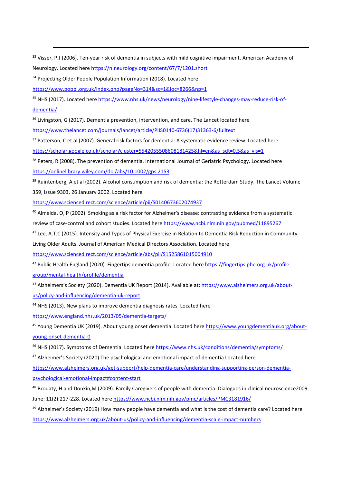<sup>33</sup> Visser, P.J (2006). Ten-year risk of dementia in subjects with mild cognitive impairment. American Academy of Neurology. Located here<https://n.neurology.org/content/67/7/1201.short>

<sup>34</sup> Projecting Older People Population Information (2018). Located here

<https://www.poppi.org.uk/index.php?pageNo=314&sc=1&loc=8266&np=1>

<sup>35</sup> NHS (2017). Located her[e https://www.nhs.uk/news/neurology/nine-lifestyle-changes-may-reduce-risk-of](https://www.nhs.uk/news/neurology/nine-lifestyle-changes-may-reduce-risk-of-dementia/)[dementia/](https://www.nhs.uk/news/neurology/nine-lifestyle-changes-may-reduce-risk-of-dementia/)

<sup>36</sup> Livingston, G (2017). Dementia prevention, intervention, and care. The Lancet located here

[https://www.thelancet.com/journals/lancet/article/PIIS0140-6736\(17\)31363-6/fulltext](https://www.thelancet.com/journals/lancet/article/PIIS0140-6736(17)31363-6/fulltext)

<sup>37</sup> Patterson, C et al (2007). General risk factors for dementia: A systematic evidence review. Located here [https://scholar.google.co.uk/scholar?cluster=5542055508608181425&hl=en&as\\_sdt=0,5&as\\_vis=1](https://scholar.google.co.uk/scholar?cluster=5542055508608181425&hl=en&as_sdt=0,5&as_vis=1)

<sup>38</sup> Peters, R (2008). The prevention of dementia. International Journal of Geriatric Psychology. Located here <https://onlinelibrary.wiley.com/doi/abs/10.1002/gps.2153>

<sup>39</sup> Ruintenberg, A et al (2002). Alcohol consumption and risk of dementia: the Rotterdam Study. The Lancet Volume 359, Issue 9303, 26 January 2002. Located here

<https://www.sciencedirect.com/science/article/pii/S0140673602074937>

<sup>40</sup> Almeida, O, P (2002). Smoking as a risk factor for Alzheimer's disease: contrasting evidence from a systematic review of case-control and cohort studies. Located here<https://www.ncbi.nlm.nih.gov/pubmed/11895267>

<sup>41</sup> Lee, A.T.C (2015). Intensity and Types of Physical Exercise in Relation to Dementia Risk Reduction in Community-

Living Older Adults. Journal of American Medical Directors Association. Located here

<https://www.sciencedirect.com/science/article/abs/pii/S1525861015004910>

<sup>42</sup> Public Health England (2020). Fingertips dementia profile. Located her[e https://fingertips.phe.org.uk/profile](https://fingertips.phe.org.uk/profile-group/mental-health/profile/dementia)[group/mental-health/profile/dementia](https://fingertips.phe.org.uk/profile-group/mental-health/profile/dementia)

<sup>43</sup> Alzheimers's Society (2020). Dementia UK Report (2014). Available at: [https://www.alzheimers.org.uk/about](https://www.alzheimers.org.uk/about-us/policy-and-influencing/dementia-uk-report)[us/policy-and-influencing/dementia-uk-report](https://www.alzheimers.org.uk/about-us/policy-and-influencing/dementia-uk-report)

<sup>44</sup> NHS (2013). New plans to improve dementia diagnosis rates. Located here

<https://www.england.nhs.uk/2013/05/dementia-targets/>

<sup>45</sup> Young Dementia UK (2019). About young onset dementia. Located her[e https://www.youngdementiauk.org/about](https://www.youngdementiauk.org/about-young-onset-dementia-0)[young-onset-dementia-0](https://www.youngdementiauk.org/about-young-onset-dementia-0)

46 NHS (2017). Symptoms of Dementia. Located here<https://www.nhs.uk/conditions/dementia/symptoms/>

<span id="page-70-0"></span> $47$  Alzheimer's Society (2020) The psychological and emotional impact of dementia Located here

[https://www.alzheimers.org.uk/get-support/help-dementia-care/understanding-supporting-person-dementia](https://www.alzheimers.org.uk/get-support/help-dementia-care/understanding-supporting-person-dementia-psychological-emotional-impact#content-start)[psychological-emotional-impact#content-start](https://www.alzheimers.org.uk/get-support/help-dementia-care/understanding-supporting-person-dementia-psychological-emotional-impact#content-start)

<span id="page-70-1"></span>48 Brodaty, H and Donkin, M (2009). Family Caregivers of people with dementia. Dialogues in clinical neuroscience2009 June: 11(2):217-228. Located here<https://www.ncbi.nlm.nih.gov/pmc/articles/PMC3181916/>

<span id="page-70-2"></span><sup>49</sup> Alzheimer's Society (2019) How many people have dementia and what is the cost of dementia care? Located here <https://www.alzheimers.org.uk/about-us/policy-and-influencing/dementia-scale-impact-numbers>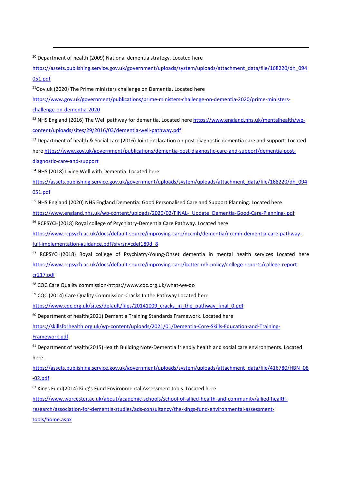<span id="page-71-0"></span><sup>50</sup> Department of health (2009) National dementia strategy. Located here

[https://assets.publishing.service.gov.uk/government/uploads/system/uploads/attachment\\_data/file/168220/dh\\_094](https://assets.publishing.service.gov.uk/government/uploads/system/uploads/attachment_data/file/168220/dh_094051.pdf) [051.pdf](https://assets.publishing.service.gov.uk/government/uploads/system/uploads/attachment_data/file/168220/dh_094051.pdf)

<span id="page-71-1"></span><sup>51</sup>Gov.uk (2020) The Prime ministers challenge on Dementia. Located here

[https://www.gov.uk/government/publications/prime-ministers-challenge-on-dementia-2020/prime-ministers](https://www.gov.uk/government/publications/prime-ministers-challenge-on-dementia-2020/prime-ministers-challenge-on-dementia-2020)[challenge-on-dementia-2020](https://www.gov.uk/government/publications/prime-ministers-challenge-on-dementia-2020/prime-ministers-challenge-on-dementia-2020)

<span id="page-71-2"></span>52 NHS England (2016) The Well pathway for dementia. Located here [https://www.england.nhs.uk/mentalhealth/wp](https://www.england.nhs.uk/mentalhealth/wp-content/uploads/sites/29/2016/03/dementia-well-pathway.pdf)[content/uploads/sites/29/2016/03/dementia-well-pathway.pdf](https://www.england.nhs.uk/mentalhealth/wp-content/uploads/sites/29/2016/03/dementia-well-pathway.pdf)

<span id="page-71-3"></span>53 Department of health & Social care (2016) Joint declaration on post-diagnostic dementia care and support. Located her[e https://www.gov.uk/government/publications/dementia-post-diagnostic-care-and-support/dementia-post](https://www.gov.uk/government/publications/dementia-post-diagnostic-care-and-support/dementia-post-diagnostic-care-and-support)[diagnostic-care-and-support](https://www.gov.uk/government/publications/dementia-post-diagnostic-care-and-support/dementia-post-diagnostic-care-and-support)

<span id="page-71-4"></span><sup>54</sup> NHS (2018) Living Well with Dementia. Located here

[https://assets.publishing.service.gov.uk/government/uploads/system/uploads/attachment\\_data/file/168220/dh\\_094](https://assets.publishing.service.gov.uk/government/uploads/system/uploads/attachment_data/file/168220/dh_094051.pdf) [051.pdf](https://assets.publishing.service.gov.uk/government/uploads/system/uploads/attachment_data/file/168220/dh_094051.pdf)

<span id="page-71-5"></span><sup>55</sup> NHS England (2020) NHS England Dementia: Good Personalised Care and Support Planning. Located here [https://www.england.nhs.uk/wp-content/uploads/2020/02/FINAL-\\_Update\\_Dementia-Good-Care-Planning-.pdf](https://www.england.nhs.uk/wp-content/uploads/2020/02/FINAL-_Update_Dementia-Good-Care-Planning-.pdf)

<span id="page-71-6"></span><sup>56</sup> RCPSYCH(2018) Royal college of Psychiatry-Dementia Care Pathway. Located here

[https://www.rcpsych.ac.uk/docs/default-source/improving-care/nccmh/dementia/nccmh-dementia-care-pathway](https://www.rcpsych.ac.uk/docs/default-source/improving-care/nccmh/dementia/nccmh-dementia-care-pathway-full-implementation-guidance.pdf?sfvrsn=cdef189d_8)[full-implementation-guidance.pdf?sfvrsn=cdef189d\\_8](https://www.rcpsych.ac.uk/docs/default-source/improving-care/nccmh/dementia/nccmh-dementia-care-pathway-full-implementation-guidance.pdf?sfvrsn=cdef189d_8)

<span id="page-71-7"></span><sup>57</sup> RCPSYCH(2018) Royal college of Psychiatry-Young-Onset dementia in mental health services Located here [https://www.rcpsych.ac.uk/docs/default-source/improving-care/better-mh-policy/college-reports/college-report](https://www.rcpsych.ac.uk/docs/default-source/improving-care/better-mh-policy/college-reports/college-report-cr217.pdf)[cr217.pdf](https://www.rcpsych.ac.uk/docs/default-source/improving-care/better-mh-policy/college-reports/college-report-cr217.pdf)

<span id="page-71-8"></span><sup>58</sup> CQC Care Quality commission-https://www.cqc.org.uk/what-we-do

<span id="page-71-9"></span><sup>59</sup> CQC (2014) Care Quality Commission-Cracks In the Pathway Located here

[https://www.cqc.org.uk/sites/default/files/20141009\\_cracks\\_in\\_the\\_pathway\\_final\\_0.pdf](https://www.cqc.org.uk/sites/default/files/20141009_cracks_in_the_pathway_final_0.pdf)

<span id="page-71-10"></span> $60$  Department of health(2021) Dementia Training Standards Framework. Located here

[https://skillsforhealth.org.uk/wp-content/uploads/2021/01/Dementia-Core-Skills-Education-and-Training-](https://skillsforhealth.org.uk/wp-content/uploads/2021/01/Dementia-Core-Skills-Education-and-Training-Framework.pdf)

[Framework.pdf](https://skillsforhealth.org.uk/wp-content/uploads/2021/01/Dementia-Core-Skills-Education-and-Training-Framework.pdf)

<span id="page-71-11"></span><sup>61</sup> Department of health(2015)Health Building Note-Dementia friendly health and social care environments. Located here.

[https://assets.publishing.service.gov.uk/government/uploads/system/uploads/attachment\\_data/file/416780/HBN\\_08](https://assets.publishing.service.gov.uk/government/uploads/system/uploads/attachment_data/file/416780/HBN_08-02.pdf) [-02.pdf](https://assets.publishing.service.gov.uk/government/uploads/system/uploads/attachment_data/file/416780/HBN_08-02.pdf)

<span id="page-71-12"></span> $62$  Kings Fund(2014) King's Fund Environmental Assessment tools. Located here

<span id="page-71-13"></span>[https://www.worcester.ac.uk/about/academic-schools/school-of-allied-health-and-community/allied-health](https://www.worcester.ac.uk/about/academic-schools/school-of-allied-health-and-community/allied-health-research/association-for-dementia-studies/ads-consultancy/the-kings-fund-environmental-assessment-tools/home.aspx)[research/association-for-dementia-studies/ads-consultancy/the-kings-fund-environmental-assessment](https://www.worcester.ac.uk/about/academic-schools/school-of-allied-health-and-community/allied-health-research/association-for-dementia-studies/ads-consultancy/the-kings-fund-environmental-assessment-tools/home.aspx)[tools/home.aspx](https://www.worcester.ac.uk/about/academic-schools/school-of-allied-health-and-community/allied-health-research/association-for-dementia-studies/ads-consultancy/the-kings-fund-environmental-assessment-tools/home.aspx)